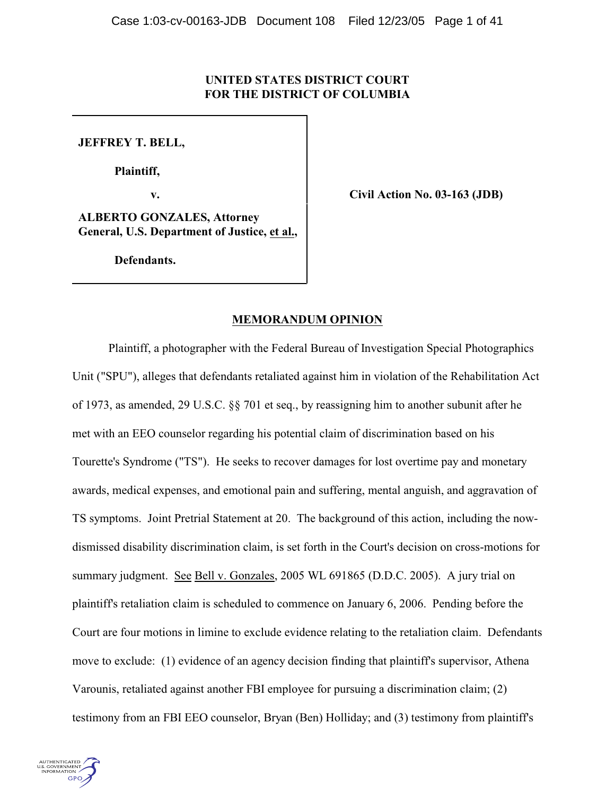# **UNITED STATES DISTRICT COURT FOR THE DISTRICT OF COLUMBIA**

**JEFFREY T. BELL,**

**Plaintiff,**

**v. Civil Action No. 03-163 (JDB)**

**ALBERTO GONZALES, Attorney General, U.S. Department of Justice, et al.,**

 **Defendants.**

# **MEMORANDUM OPINION**

Plaintiff, a photographer with the Federal Bureau of Investigation Special Photographics Unit ("SPU"), alleges that defendants retaliated against him in violation of the Rehabilitation Act of 1973, as amended, 29 U.S.C. §§ 701 et seq., by reassigning him to another subunit after he met with an EEO counselor regarding his potential claim of discrimination based on his Tourette's Syndrome ("TS"). He seeks to recover damages for lost overtime pay and monetary awards, medical expenses, and emotional pain and suffering, mental anguish, and aggravation of TS symptoms. Joint Pretrial Statement at 20. The background of this action, including the nowdismissed disability discrimination claim, is set forth in the Court's decision on cross-motions for summary judgment. See Bell v. Gonzales, 2005 WL 691865 (D.D.C. 2005). A jury trial on plaintiff's retaliation claim is scheduled to commence on January 6, 2006. Pending before the Court are four motions in limine to exclude evidence relating to the retaliation claim. Defendants move to exclude: (1) evidence of an agency decision finding that plaintiff's supervisor, Athena Varounis, retaliated against another FBI employee for pursuing a discrimination claim; (2) testimony from an FBI EEO counselor, Bryan (Ben) Holliday; and (3) testimony from plaintiff's

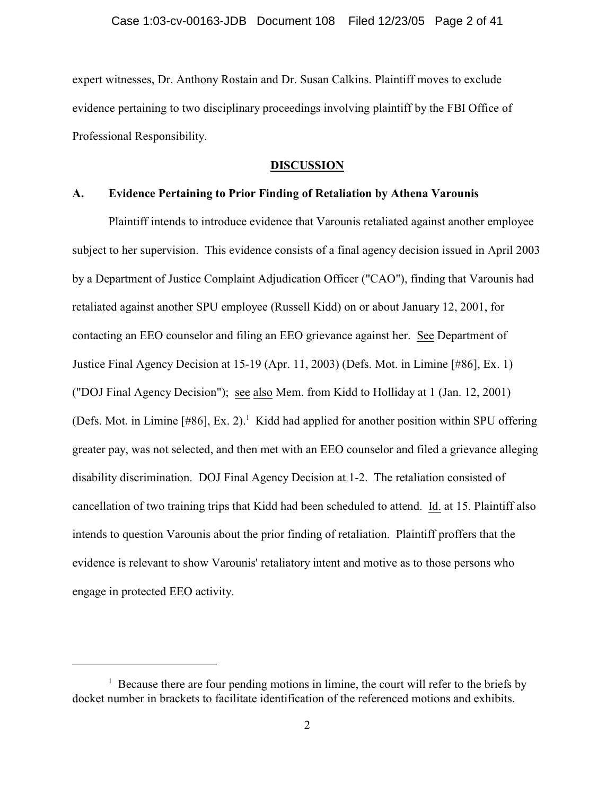expert witnesses, Dr. Anthony Rostain and Dr. Susan Calkins. Plaintiff moves to exclude evidence pertaining to two disciplinary proceedings involving plaintiff by the FBI Office of Professional Responsibility.

## **DISCUSSION**

### **A. Evidence Pertaining to Prior Finding of Retaliation by Athena Varounis**

Plaintiff intends to introduce evidence that Varounis retaliated against another employee subject to her supervision. This evidence consists of a final agency decision issued in April 2003 by a Department of Justice Complaint Adjudication Officer ("CAO"), finding that Varounis had retaliated against another SPU employee (Russell Kidd) on or about January 12, 2001, for contacting an EEO counselor and filing an EEO grievance against her. See Department of Justice Final Agency Decision at 15-19 (Apr. 11, 2003) (Defs. Mot. in Limine [#86], Ex. 1) ("DOJ Final Agency Decision"); see also Mem. from Kidd to Holliday at 1 (Jan. 12, 2001) (Defs. Mot. in Limine [#86], Ex. 2).<sup>1</sup> Kidd had applied for another position within SPU offering greater pay, was not selected, and then met with an EEO counselor and filed a grievance alleging disability discrimination. DOJ Final Agency Decision at 1-2. The retaliation consisted of cancellation of two training trips that Kidd had been scheduled to attend. Id. at 15. Plaintiff also intends to question Varounis about the prior finding of retaliation. Plaintiff proffers that the evidence is relevant to show Varounis' retaliatory intent and motive as to those persons who engage in protected EEO activity.

 $\frac{1}{1}$  Because there are four pending motions in limine, the court will refer to the briefs by docket number in brackets to facilitate identification of the referenced motions and exhibits.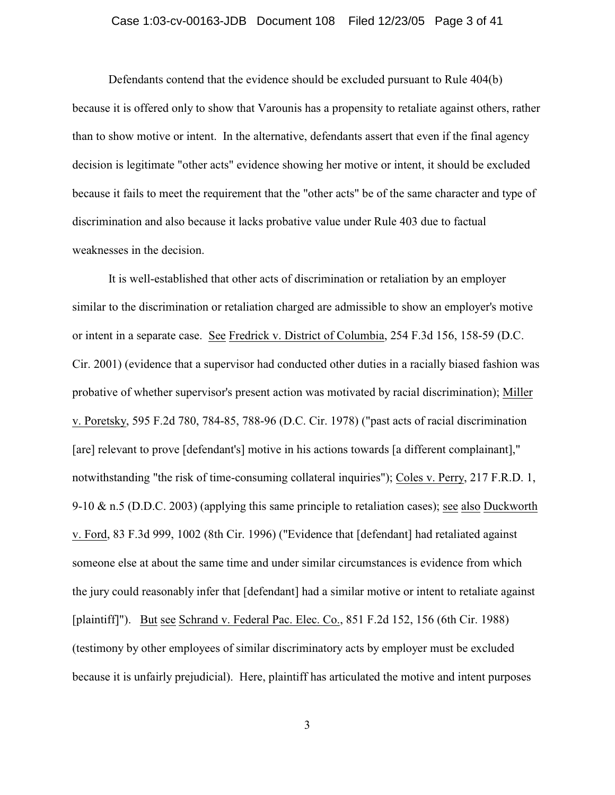## Case 1:03-cv-00163-JDB Document 108 Filed 12/23/05 Page 3 of 41

Defendants contend that the evidence should be excluded pursuant to Rule 404(b) because it is offered only to show that Varounis has a propensity to retaliate against others, rather than to show motive or intent. In the alternative, defendants assert that even if the final agency decision is legitimate "other acts" evidence showing her motive or intent, it should be excluded because it fails to meet the requirement that the "other acts" be of the same character and type of discrimination and also because it lacks probative value under Rule 403 due to factual weaknesses in the decision.

It is well-established that other acts of discrimination or retaliation by an employer similar to the discrimination or retaliation charged are admissible to show an employer's motive or intent in a separate case. See Fredrick v. District of Columbia, 254 F.3d 156, 158-59 (D.C. Cir. 2001) (evidence that a supervisor had conducted other duties in a racially biased fashion was probative of whether supervisor's present action was motivated by racial discrimination); Miller v. Poretsky, 595 F.2d 780, 784-85, 788-96 (D.C. Cir. 1978) ("past acts of racial discrimination [are] relevant to prove [defendant's] motive in his actions towards [a different complainant]," notwithstanding "the risk of time-consuming collateral inquiries"); Coles v. Perry, 217 F.R.D. 1, 9-10 & n.5 (D.D.C. 2003) (applying this same principle to retaliation cases); see also Duckworth v. Ford, 83 F.3d 999, 1002 (8th Cir. 1996) ("Evidence that [defendant] had retaliated against someone else at about the same time and under similar circumstances is evidence from which the jury could reasonably infer that [defendant] had a similar motive or intent to retaliate against [plaintiff]"). But see Schrand v. Federal Pac. Elec. Co., 851 F.2d 152, 156 (6th Cir. 1988) (testimony by other employees of similar discriminatory acts by employer must be excluded because it is unfairly prejudicial). Here, plaintiff has articulated the motive and intent purposes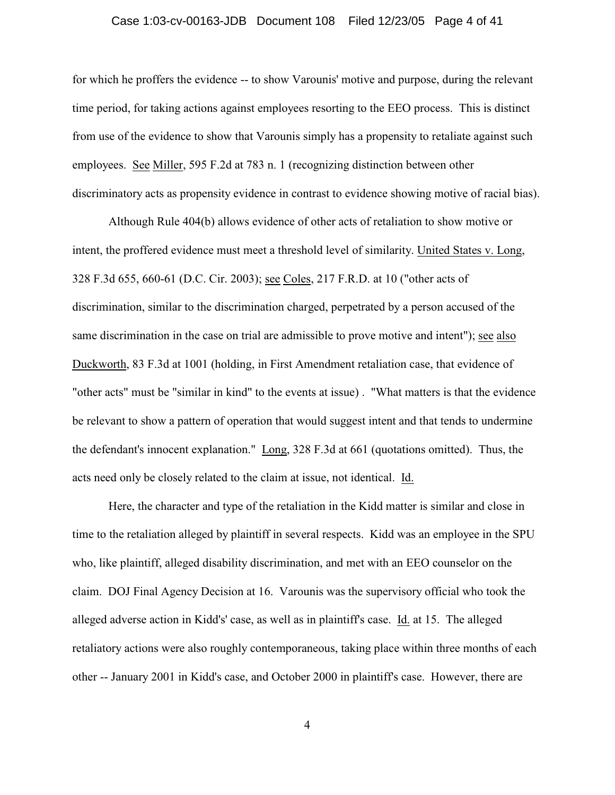## Case 1:03-cv-00163-JDB Document 108 Filed 12/23/05 Page 4 of 41

for which he proffers the evidence -- to show Varounis' motive and purpose, during the relevant time period, for taking actions against employees resorting to the EEO process. This is distinct from use of the evidence to show that Varounis simply has a propensity to retaliate against such employees. See Miller, 595 F.2d at 783 n. 1 (recognizing distinction between other discriminatory acts as propensity evidence in contrast to evidence showing motive of racial bias).

Although Rule 404(b) allows evidence of other acts of retaliation to show motive or intent, the proffered evidence must meet a threshold level of similarity. United States v. Long, 328 F.3d 655, 660-61 (D.C. Cir. 2003); see Coles, 217 F.R.D. at 10 ("other acts of discrimination, similar to the discrimination charged, perpetrated by a person accused of the same discrimination in the case on trial are admissible to prove motive and intent"); see also Duckworth, 83 F.3d at 1001 (holding, in First Amendment retaliation case, that evidence of "other acts" must be "similar in kind" to the events at issue) . "What matters is that the evidence be relevant to show a pattern of operation that would suggest intent and that tends to undermine the defendant's innocent explanation." Long, 328 F.3d at 661 (quotations omitted). Thus, the acts need only be closely related to the claim at issue, not identical. Id.

Here, the character and type of the retaliation in the Kidd matter is similar and close in time to the retaliation alleged by plaintiff in several respects. Kidd was an employee in the SPU who, like plaintiff, alleged disability discrimination, and met with an EEO counselor on the claim. DOJ Final Agency Decision at 16. Varounis was the supervisory official who took the alleged adverse action in Kidd's' case, as well as in plaintiff's case. Id. at 15. The alleged retaliatory actions were also roughly contemporaneous, taking place within three months of each other -- January 2001 in Kidd's case, and October 2000 in plaintiff's case. However, there are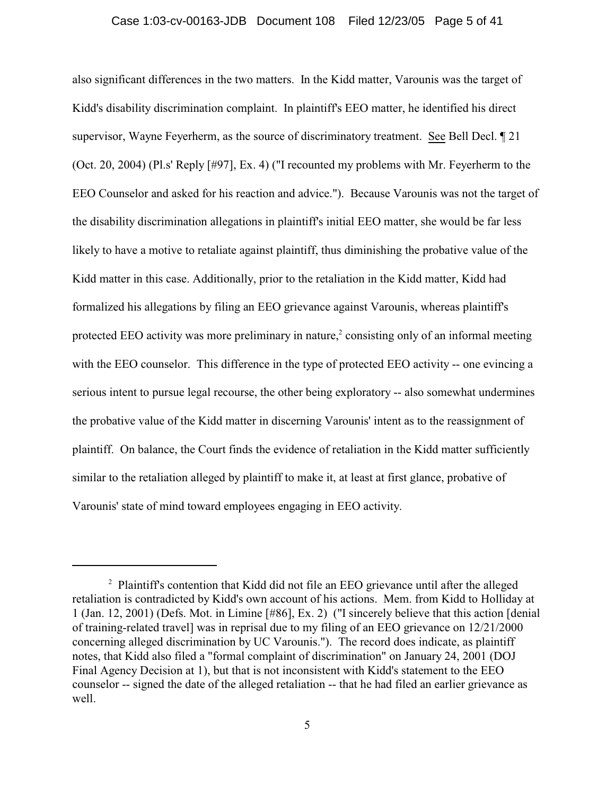## Case 1:03-cv-00163-JDB Document 108 Filed 12/23/05 Page 5 of 41

also significant differences in the two matters. In the Kidd matter, Varounis was the target of Kidd's disability discrimination complaint. In plaintiff's EEO matter, he identified his direct supervisor, Wayne Feyerherm, as the source of discriminatory treatment. See Bell Decl. ¶ 21 (Oct. 20, 2004) (Pl.s' Reply [#97], Ex. 4) ("I recounted my problems with Mr. Feyerherm to the EEO Counselor and asked for his reaction and advice."). Because Varounis was not the target of the disability discrimination allegations in plaintiff's initial EEO matter, she would be far less likely to have a motive to retaliate against plaintiff, thus diminishing the probative value of the Kidd matter in this case. Additionally, prior to the retaliation in the Kidd matter, Kidd had formalized his allegations by filing an EEO grievance against Varounis, whereas plaintiff's protected EEO activity was more preliminary in nature, $\alpha$ <sup>2</sup> consisting only of an informal meeting with the EEO counselor. This difference in the type of protected EEO activity -- one evincing a serious intent to pursue legal recourse, the other being exploratory -- also somewhat undermines the probative value of the Kidd matter in discerning Varounis' intent as to the reassignment of plaintiff. On balance, the Court finds the evidence of retaliation in the Kidd matter sufficiently similar to the retaliation alleged by plaintiff to make it, at least at first glance, probative of Varounis' state of mind toward employees engaging in EEO activity.

<sup>&</sup>lt;sup>2</sup> Plaintiff's contention that Kidd did not file an EEO grievance until after the alleged retaliation is contradicted by Kidd's own account of his actions. Mem. from Kidd to Holliday at 1 (Jan. 12, 2001) (Defs. Mot. in Limine [#86], Ex. 2) ("I sincerely believe that this action [denial of training-related travel] was in reprisal due to my filing of an EEO grievance on 12/21/2000 concerning alleged discrimination by UC Varounis."). The record does indicate, as plaintiff notes, that Kidd also filed a "formal complaint of discrimination" on January 24, 2001 (DOJ Final Agency Decision at 1), but that is not inconsistent with Kidd's statement to the EEO counselor -- signed the date of the alleged retaliation -- that he had filed an earlier grievance as well.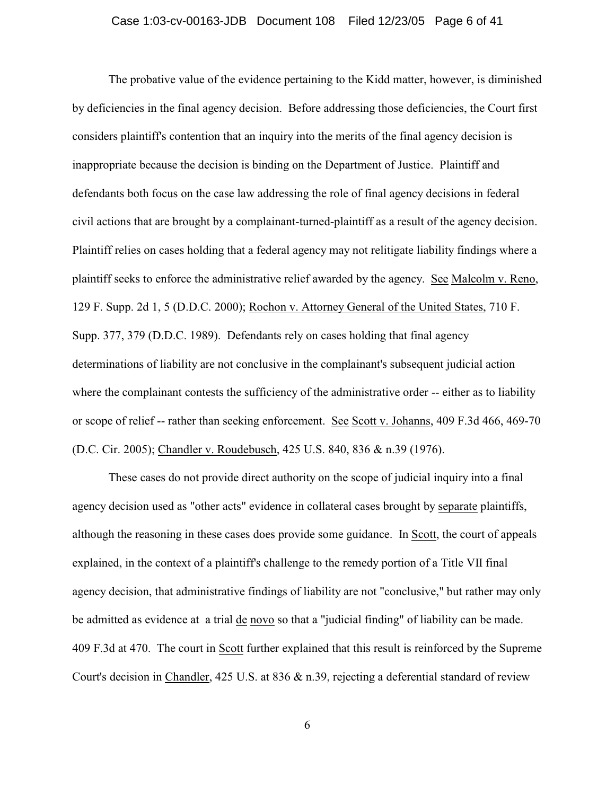## Case 1:03-cv-00163-JDB Document 108 Filed 12/23/05 Page 6 of 41

The probative value of the evidence pertaining to the Kidd matter, however, is diminished by deficiencies in the final agency decision. Before addressing those deficiencies, the Court first considers plaintiff's contention that an inquiry into the merits of the final agency decision is inappropriate because the decision is binding on the Department of Justice. Plaintiff and defendants both focus on the case law addressing the role of final agency decisions in federal civil actions that are brought by a complainant-turned-plaintiff as a result of the agency decision. Plaintiff relies on cases holding that a federal agency may not relitigate liability findings where a plaintiff seeks to enforce the administrative relief awarded by the agency. See Malcolm v. Reno, 129 F. Supp. 2d 1, 5 (D.D.C. 2000); Rochon v. Attorney General of the United States, 710 F. Supp. 377, 379 (D.D.C. 1989). Defendants rely on cases holding that final agency determinations of liability are not conclusive in the complainant's subsequent judicial action where the complainant contests the sufficiency of the administrative order -- either as to liability or scope of relief -- rather than seeking enforcement. See Scott v. Johanns, 409 F.3d 466, 469-70 (D.C. Cir. 2005); Chandler v. Roudebusch, 425 U.S. 840, 836 & n.39 (1976).

These cases do not provide direct authority on the scope of judicial inquiry into a final agency decision used as "other acts" evidence in collateral cases brought by separate plaintiffs, although the reasoning in these cases does provide some guidance. In Scott, the court of appeals explained, in the context of a plaintiff's challenge to the remedy portion of a Title VII final agency decision, that administrative findings of liability are not "conclusive," but rather may only be admitted as evidence at a trial de novo so that a "judicial finding" of liability can be made. 409 F.3d at 470. The court in Scott further explained that this result is reinforced by the Supreme Court's decision in Chandler, 425 U.S. at 836 & n.39, rejecting a deferential standard of review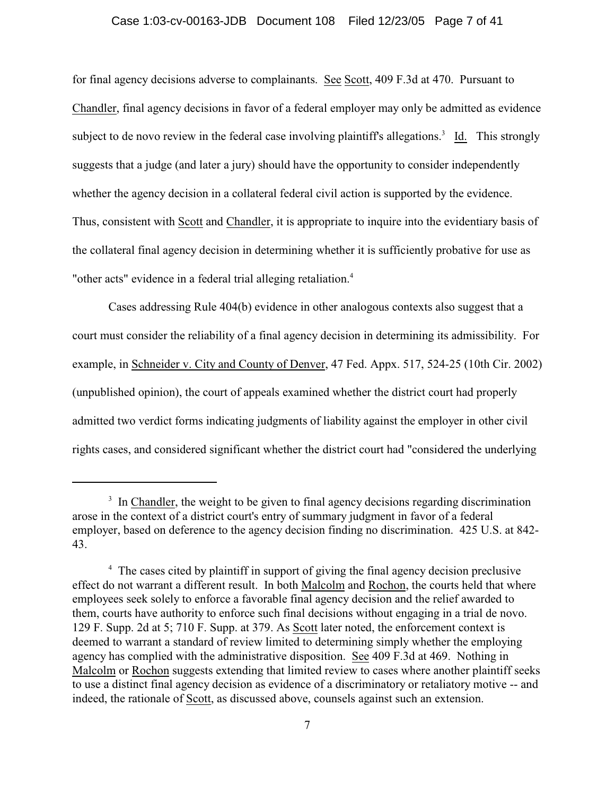## Case 1:03-cv-00163-JDB Document 108 Filed 12/23/05 Page 7 of 41

for final agency decisions adverse to complainants. See Scott, 409 F.3d at 470. Pursuant to Chandler, final agency decisions in favor of a federal employer may only be admitted as evidence subject to de novo review in the federal case involving plaintiff's allegations.<sup>3</sup> Id. This strongly suggests that a judge (and later a jury) should have the opportunity to consider independently whether the agency decision in a collateral federal civil action is supported by the evidence. Thus, consistent with Scott and Chandler, it is appropriate to inquire into the evidentiary basis of the collateral final agency decision in determining whether it is sufficiently probative for use as "other acts" evidence in a federal trial alleging retaliation.<sup>4</sup>

Cases addressing Rule 404(b) evidence in other analogous contexts also suggest that a court must consider the reliability of a final agency decision in determining its admissibility. For example, in Schneider v. City and County of Denver, 47 Fed. Appx. 517, 524-25 (10th Cir. 2002) (unpublished opinion), the court of appeals examined whether the district court had properly admitted two verdict forms indicating judgments of liability against the employer in other civil rights cases, and considered significant whether the district court had "considered the underlying

 $\beta$  In Chandler, the weight to be given to final agency decisions regarding discrimination arose in the context of a district court's entry of summary judgment in favor of a federal employer, based on deference to the agency decision finding no discrimination. 425 U.S. at 842- 43.

<sup>&</sup>lt;sup>4</sup> The cases cited by plaintiff in support of giving the final agency decision preclusive effect do not warrant a different result. In both Malcolm and Rochon, the courts held that where employees seek solely to enforce a favorable final agency decision and the relief awarded to them, courts have authority to enforce such final decisions without engaging in a trial de novo. 129 F. Supp. 2d at 5; 710 F. Supp. at 379. As Scott later noted, the enforcement context is deemed to warrant a standard of review limited to determining simply whether the employing agency has complied with the administrative disposition. See 409 F.3d at 469. Nothing in Malcolm or Rochon suggests extending that limited review to cases where another plaintiff seeks to use a distinct final agency decision as evidence of a discriminatory or retaliatory motive -- and indeed, the rationale of Scott, as discussed above, counsels against such an extension.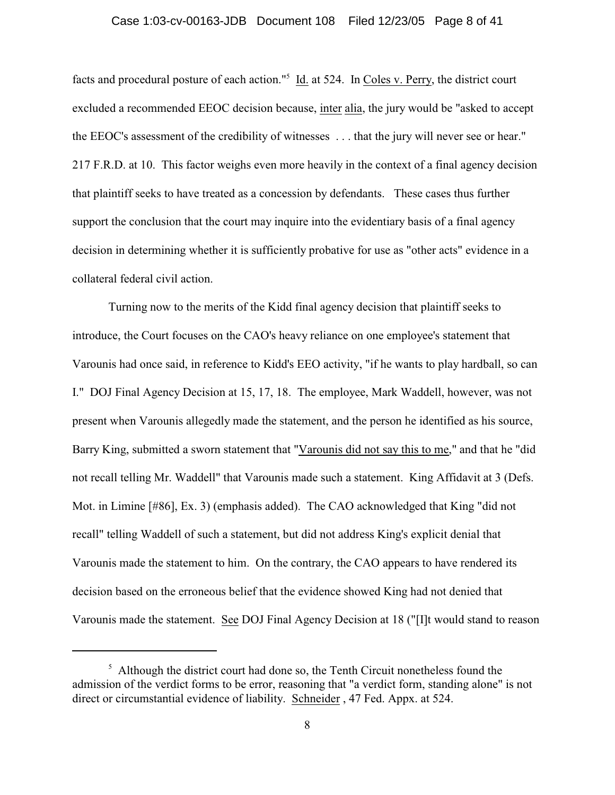## Case 1:03-cv-00163-JDB Document 108 Filed 12/23/05 Page 8 of 41

facts and procedural posture of each action."<sup>5</sup> Id. at 524. In Coles v. Perry, the district court excluded a recommended EEOC decision because, inter alia, the jury would be "asked to accept the EEOC's assessment of the credibility of witnesses . . . that the jury will never see or hear." 217 F.R.D. at 10. This factor weighs even more heavily in the context of a final agency decision that plaintiff seeks to have treated as a concession by defendants. These cases thus further support the conclusion that the court may inquire into the evidentiary basis of a final agency decision in determining whether it is sufficiently probative for use as "other acts" evidence in a collateral federal civil action.

Turning now to the merits of the Kidd final agency decision that plaintiff seeks to introduce, the Court focuses on the CAO's heavy reliance on one employee's statement that Varounis had once said, in reference to Kidd's EEO activity, "if he wants to play hardball, so can I." DOJ Final Agency Decision at 15, 17, 18. The employee, Mark Waddell, however, was not present when Varounis allegedly made the statement, and the person he identified as his source, Barry King, submitted a sworn statement that "Varounis did not say this to me," and that he "did not recall telling Mr. Waddell" that Varounis made such a statement. King Affidavit at 3 (Defs. Mot. in Limine [#86], Ex. 3) (emphasis added). The CAO acknowledged that King "did not recall" telling Waddell of such a statement, but did not address King's explicit denial that Varounis made the statement to him. On the contrary, the CAO appears to have rendered its decision based on the erroneous belief that the evidence showed King had not denied that Varounis made the statement. See DOJ Final Agency Decision at 18 ("[I]t would stand to reason

 $<sup>5</sup>$  Although the district court had done so, the Tenth Circuit nonetheless found the</sup> admission of the verdict forms to be error, reasoning that "a verdict form, standing alone" is not direct or circumstantial evidence of liability. Schneider , 47 Fed. Appx. at 524.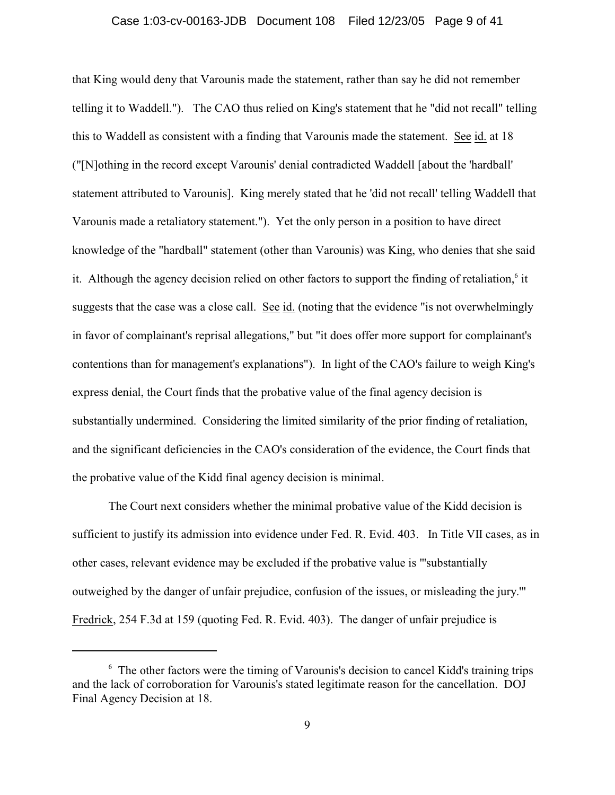## Case 1:03-cv-00163-JDB Document 108 Filed 12/23/05 Page 9 of 41

that King would deny that Varounis made the statement, rather than say he did not remember telling it to Waddell."). The CAO thus relied on King's statement that he "did not recall" telling this to Waddell as consistent with a finding that Varounis made the statement. See id. at 18 ("[N]othing in the record except Varounis' denial contradicted Waddell [about the 'hardball' statement attributed to Varounis]. King merely stated that he 'did not recall' telling Waddell that Varounis made a retaliatory statement."). Yet the only person in a position to have direct knowledge of the "hardball" statement (other than Varounis) was King, who denies that she said it. Although the agency decision relied on other factors to support the finding of retaliation, $\delta$  it suggests that the case was a close call. See id. (noting that the evidence "is not overwhelmingly in favor of complainant's reprisal allegations," but "it does offer more support for complainant's contentions than for management's explanations"). In light of the CAO's failure to weigh King's express denial, the Court finds that the probative value of the final agency decision is substantially undermined. Considering the limited similarity of the prior finding of retaliation, and the significant deficiencies in the CAO's consideration of the evidence, the Court finds that the probative value of the Kidd final agency decision is minimal.

The Court next considers whether the minimal probative value of the Kidd decision is sufficient to justify its admission into evidence under Fed. R. Evid. 403. In Title VII cases, as in other cases, relevant evidence may be excluded if the probative value is "'substantially outweighed by the danger of unfair prejudice, confusion of the issues, or misleading the jury.'" Fredrick, 254 F.3d at 159 (quoting Fed. R. Evid. 403). The danger of unfair prejudice is

 $6$  The other factors were the timing of Varounis's decision to cancel Kidd's training trips and the lack of corroboration for Varounis's stated legitimate reason for the cancellation. DOJ Final Agency Decision at 18.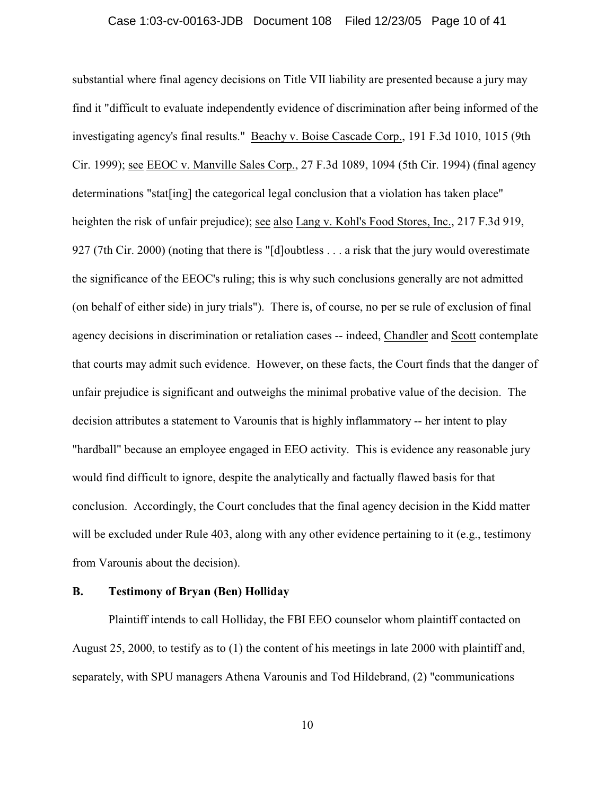## Case 1:03-cv-00163-JDB Document 108 Filed 12/23/05 Page 10 of 41

substantial where final agency decisions on Title VII liability are presented because a jury may find it "difficult to evaluate independently evidence of discrimination after being informed of the investigating agency's final results." Beachy v. Boise Cascade Corp., 191 F.3d 1010, 1015 (9th Cir. 1999); see EEOC v. Manville Sales Corp., 27 F.3d 1089, 1094 (5th Cir. 1994) (final agency determinations "stat[ing] the categorical legal conclusion that a violation has taken place" heighten the risk of unfair prejudice); see also Lang v. Kohl's Food Stores, Inc., 217 F.3d 919, 927 (7th Cir. 2000) (noting that there is "[d]oubtless . . . a risk that the jury would overestimate the significance of the EEOC's ruling; this is why such conclusions generally are not admitted (on behalf of either side) in jury trials"). There is, of course, no per se rule of exclusion of final agency decisions in discrimination or retaliation cases -- indeed, Chandler and Scott contemplate that courts may admit such evidence. However, on these facts, the Court finds that the danger of unfair prejudice is significant and outweighs the minimal probative value of the decision. The decision attributes a statement to Varounis that is highly inflammatory -- her intent to play "hardball" because an employee engaged in EEO activity. This is evidence any reasonable jury would find difficult to ignore, despite the analytically and factually flawed basis for that conclusion. Accordingly, the Court concludes that the final agency decision in the Kidd matter will be excluded under Rule 403, along with any other evidence pertaining to it (e.g., testimony from Varounis about the decision).

## **B. Testimony of Bryan (Ben) Holliday**

Plaintiff intends to call Holliday, the FBI EEO counselor whom plaintiff contacted on August 25, 2000, to testify as to (1) the content of his meetings in late 2000 with plaintiff and, separately, with SPU managers Athena Varounis and Tod Hildebrand, (2) "communications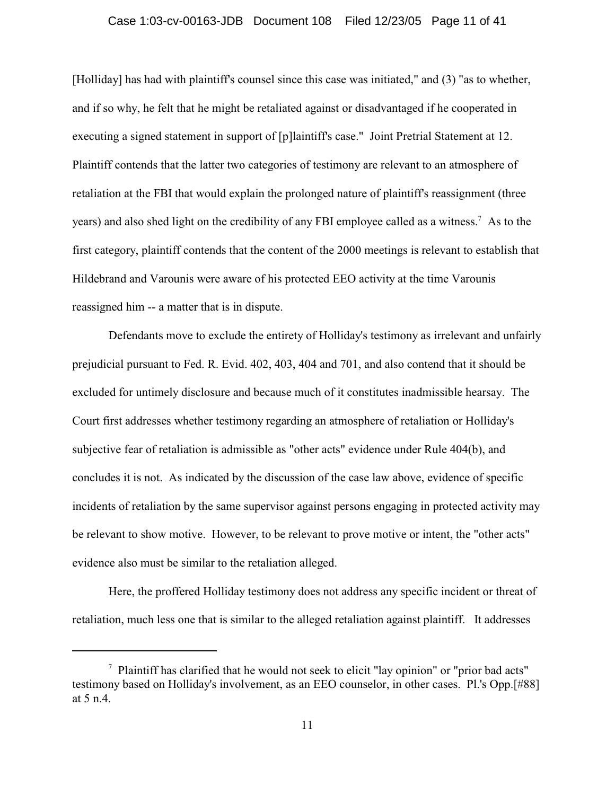## Case 1:03-cv-00163-JDB Document 108 Filed 12/23/05 Page 11 of 41

[Holliday] has had with plaintiff's counsel since this case was initiated," and (3) "as to whether, and if so why, he felt that he might be retaliated against or disadvantaged if he cooperated in executing a signed statement in support of [p]laintiff's case." Joint Pretrial Statement at 12. Plaintiff contends that the latter two categories of testimony are relevant to an atmosphere of retaliation at the FBI that would explain the prolonged nature of plaintiff's reassignment (three years) and also shed light on the credibility of any FBI employee called as a witness.<sup>7</sup> As to the first category, plaintiff contends that the content of the 2000 meetings is relevant to establish that Hildebrand and Varounis were aware of his protected EEO activity at the time Varounis reassigned him -- a matter that is in dispute.

Defendants move to exclude the entirety of Holliday's testimony as irrelevant and unfairly prejudicial pursuant to Fed. R. Evid. 402, 403, 404 and 701, and also contend that it should be excluded for untimely disclosure and because much of it constitutes inadmissible hearsay. The Court first addresses whether testimony regarding an atmosphere of retaliation or Holliday's subjective fear of retaliation is admissible as "other acts" evidence under Rule 404(b), and concludes it is not. As indicated by the discussion of the case law above, evidence of specific incidents of retaliation by the same supervisor against persons engaging in protected activity may be relevant to show motive. However, to be relevant to prove motive or intent, the "other acts" evidence also must be similar to the retaliation alleged.

Here, the proffered Holliday testimony does not address any specific incident or threat of retaliation, much less one that is similar to the alleged retaliation against plaintiff. It addresses

 $\frac{7}{7}$  Plaintiff has clarified that he would not seek to elicit "lay opinion" or "prior bad acts" testimony based on Holliday's involvement, as an EEO counselor, in other cases. Pl.'s Opp.[#88] at 5 n.4.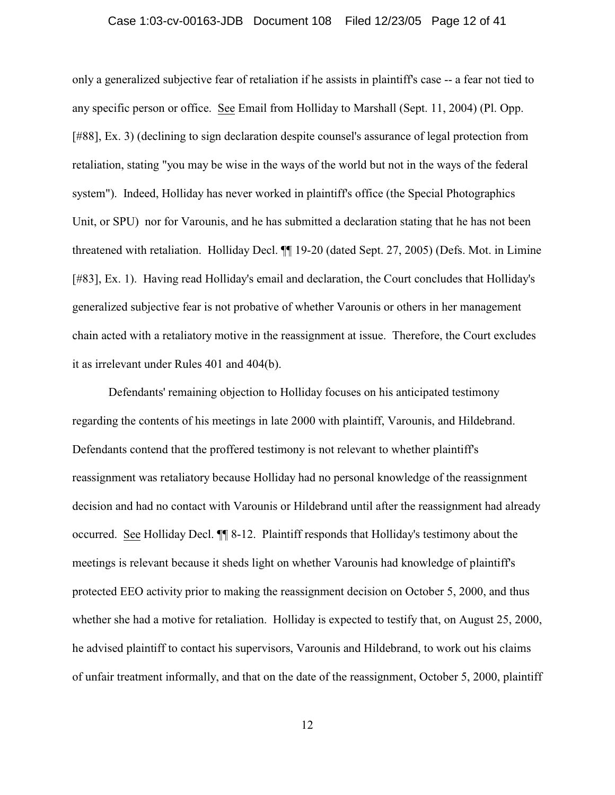## Case 1:03-cv-00163-JDB Document 108 Filed 12/23/05 Page 12 of 41

only a generalized subjective fear of retaliation if he assists in plaintiff's case -- a fear not tied to any specific person or office. See Email from Holliday to Marshall (Sept. 11, 2004) (Pl. Opp. [#88], Ex. 3) (declining to sign declaration despite counsel's assurance of legal protection from retaliation, stating "you may be wise in the ways of the world but not in the ways of the federal system"). Indeed, Holliday has never worked in plaintiff's office (the Special Photographics Unit, or SPU) nor for Varounis, and he has submitted a declaration stating that he has not been threatened with retaliation. Holliday Decl. ¶¶ 19-20 (dated Sept. 27, 2005) (Defs. Mot. in Limine [#83], Ex. 1). Having read Holliday's email and declaration, the Court concludes that Holliday's generalized subjective fear is not probative of whether Varounis or others in her management chain acted with a retaliatory motive in the reassignment at issue. Therefore, the Court excludes it as irrelevant under Rules 401 and 404(b).

Defendants' remaining objection to Holliday focuses on his anticipated testimony regarding the contents of his meetings in late 2000 with plaintiff, Varounis, and Hildebrand. Defendants contend that the proffered testimony is not relevant to whether plaintiff's reassignment was retaliatory because Holliday had no personal knowledge of the reassignment decision and had no contact with Varounis or Hildebrand until after the reassignment had already occurred. See Holliday Decl. ¶¶ 8-12. Plaintiff responds that Holliday's testimony about the meetings is relevant because it sheds light on whether Varounis had knowledge of plaintiff's protected EEO activity prior to making the reassignment decision on October 5, 2000, and thus whether she had a motive for retaliation. Holliday is expected to testify that, on August 25, 2000, he advised plaintiff to contact his supervisors, Varounis and Hildebrand, to work out his claims of unfair treatment informally, and that on the date of the reassignment, October 5, 2000, plaintiff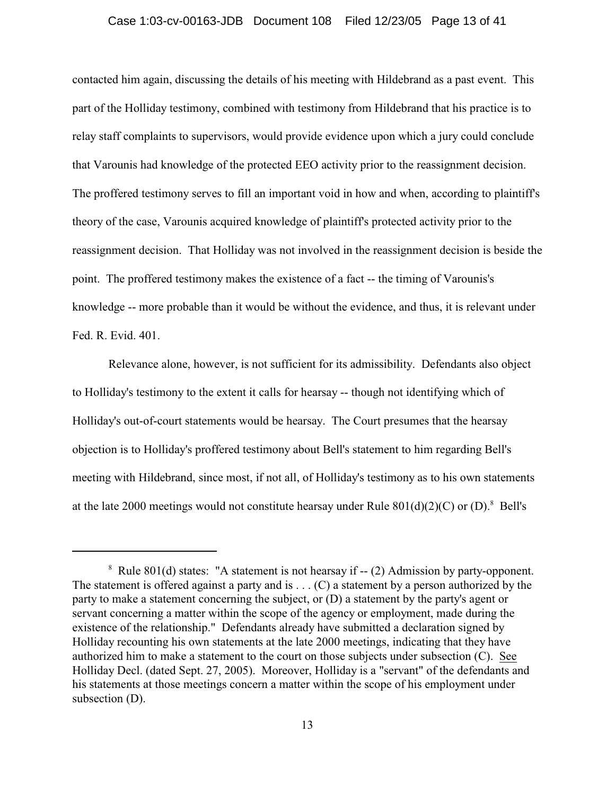#### Case 1:03-cv-00163-JDB Document 108 Filed 12/23/05 Page 13 of 41

contacted him again, discussing the details of his meeting with Hildebrand as a past event. This part of the Holliday testimony, combined with testimony from Hildebrand that his practice is to relay staff complaints to supervisors, would provide evidence upon which a jury could conclude that Varounis had knowledge of the protected EEO activity prior to the reassignment decision. The proffered testimony serves to fill an important void in how and when, according to plaintiff's theory of the case, Varounis acquired knowledge of plaintiff's protected activity prior to the reassignment decision. That Holliday was not involved in the reassignment decision is beside the point. The proffered testimony makes the existence of a fact -- the timing of Varounis's knowledge -- more probable than it would be without the evidence, and thus, it is relevant under Fed. R. Evid. 401.

Relevance alone, however, is not sufficient for its admissibility. Defendants also object to Holliday's testimony to the extent it calls for hearsay -- though not identifying which of Holliday's out-of-court statements would be hearsay. The Court presumes that the hearsay objection is to Holliday's proffered testimony about Bell's statement to him regarding Bell's meeting with Hildebrand, since most, if not all, of Holliday's testimony as to his own statements at the late 2000 meetings would not constitute hearsay under Rule  $801(d)(2)(C)$  or (D).<sup>8</sup> Bell's

 $8$  Rule 801(d) states: "A statement is not hearsay if -- (2) Admission by party-opponent. The statement is offered against a party and is . . . (C) a statement by a person authorized by the party to make a statement concerning the subject, or (D) a statement by the party's agent or servant concerning a matter within the scope of the agency or employment, made during the existence of the relationship." Defendants already have submitted a declaration signed by Holliday recounting his own statements at the late 2000 meetings, indicating that they have authorized him to make a statement to the court on those subjects under subsection (C). See Holliday Decl. (dated Sept. 27, 2005). Moreover, Holliday is a "servant" of the defendants and his statements at those meetings concern a matter within the scope of his employment under subsection (D).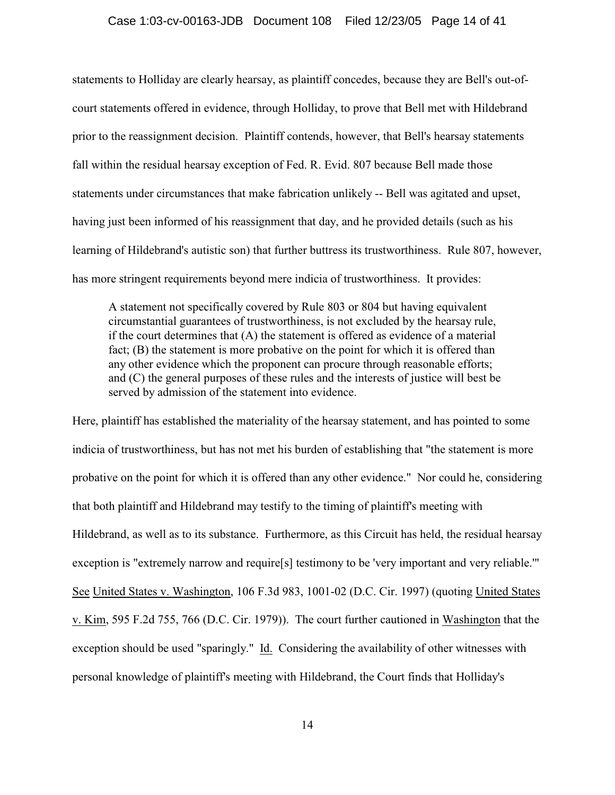## Case 1:03-cv-00163-JDB Document 108 Filed 12/23/05 Page 14 of 41

statements to Holliday are clearly hearsay, as plaintiff concedes, because they are Bell's out-ofcourt statements offered in evidence, through Holliday, to prove that Bell met with Hildebrand prior to the reassignment decision. Plaintiff contends, however, that Bell's hearsay statements fall within the residual hearsay exception of Fed. R. Evid. 807 because Bell made those statements under circumstances that make fabrication unlikely -- Bell was agitated and upset, having just been informed of his reassignment that day, and he provided details (such as his learning of Hildebrand's autistic son) that further buttress its trustworthiness. Rule 807, however, has more stringent requirements beyond mere indicia of trustworthiness. It provides:

A statement not specifically covered by Rule 803 or 804 but having equivalent circumstantial guarantees of trustworthiness, is not excluded by the hearsay rule, if the court determines that (A) the statement is offered as evidence of a material fact; (B) the statement is more probative on the point for which it is offered than any other evidence which the proponent can procure through reasonable efforts; and (C) the general purposes of these rules and the interests of justice will best be served by admission of the statement into evidence.

Here, plaintiff has established the materiality of the hearsay statement, and has pointed to some indicia of trustworthiness, but has not met his burden of establishing that "the statement is more probative on the point for which it is offered than any other evidence." Nor could he, considering that both plaintiff and Hildebrand may testify to the timing of plaintiff's meeting with Hildebrand, as well as to its substance. Furthermore, as this Circuit has held, the residual hearsay exception is "extremely narrow and require[s] testimony to be 'very important and very reliable." See United States v. Washington, 106 F.3d 983, 1001-02 (D.C. Cir. 1997) (quoting United States v. Kim, 595 F.2d 755, 766 (D.C. Cir. 1979)). The court further cautioned in Washington that the exception should be used "sparingly." Id. Considering the availability of other witnesses with personal knowledge of plaintiff's meeting with Hildebrand, the Court finds that Holliday's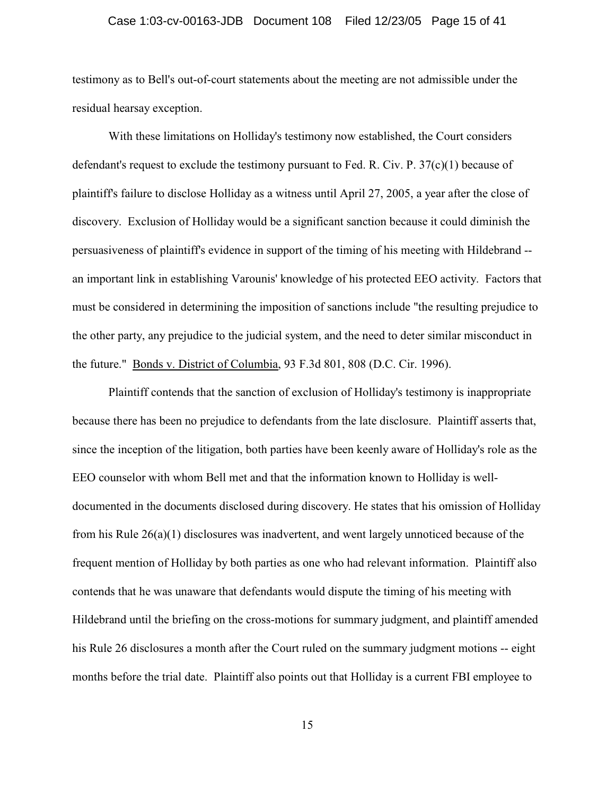## Case 1:03-cv-00163-JDB Document 108 Filed 12/23/05 Page 15 of 41

testimony as to Bell's out-of-court statements about the meeting are not admissible under the residual hearsay exception.

With these limitations on Holliday's testimony now established, the Court considers defendant's request to exclude the testimony pursuant to Fed. R. Civ. P.  $37(c)(1)$  because of plaintiff's failure to disclose Holliday as a witness until April 27, 2005, a year after the close of discovery. Exclusion of Holliday would be a significant sanction because it could diminish the persuasiveness of plaintiff's evidence in support of the timing of his meeting with Hildebrand - an important link in establishing Varounis' knowledge of his protected EEO activity. Factors that must be considered in determining the imposition of sanctions include "the resulting prejudice to the other party, any prejudice to the judicial system, and the need to deter similar misconduct in the future." Bonds v. District of Columbia, 93 F.3d 801, 808 (D.C. Cir. 1996).

Plaintiff contends that the sanction of exclusion of Holliday's testimony is inappropriate because there has been no prejudice to defendants from the late disclosure. Plaintiff asserts that, since the inception of the litigation, both parties have been keenly aware of Holliday's role as the EEO counselor with whom Bell met and that the information known to Holliday is welldocumented in the documents disclosed during discovery. He states that his omission of Holliday from his Rule 26(a)(1) disclosures was inadvertent, and went largely unnoticed because of the frequent mention of Holliday by both parties as one who had relevant information. Plaintiff also contends that he was unaware that defendants would dispute the timing of his meeting with Hildebrand until the briefing on the cross-motions for summary judgment, and plaintiff amended his Rule 26 disclosures a month after the Court ruled on the summary judgment motions -- eight months before the trial date. Plaintiff also points out that Holliday is a current FBI employee to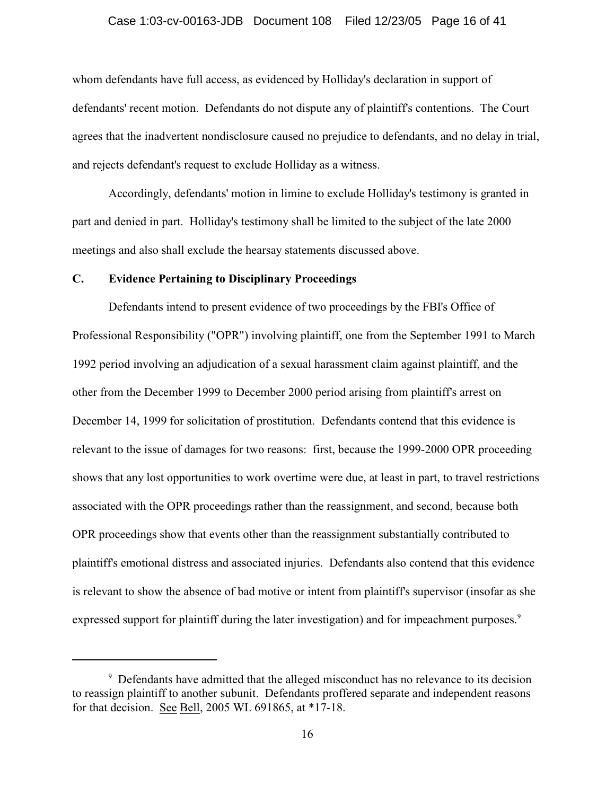### Case 1:03-cv-00163-JDB Document 108 Filed 12/23/05 Page 16 of 41

whom defendants have full access, as evidenced by Holliday's declaration in support of defendants' recent motion. Defendants do not dispute any of plaintiff's contentions. The Court agrees that the inadvertent nondisclosure caused no prejudice to defendants, and no delay in trial, and rejects defendant's request to exclude Holliday as a witness.

Accordingly, defendants' motion in limine to exclude Holliday's testimony is granted in part and denied in part. Holliday's testimony shall be limited to the subject of the late 2000 meetings and also shall exclude the hearsay statements discussed above.

## **C. Evidence Pertaining to Disciplinary Proceedings**

Defendants intend to present evidence of two proceedings by the FBI's Office of Professional Responsibility ("OPR") involving plaintiff, one from the September 1991 to March 1992 period involving an adjudication of a sexual harassment claim against plaintiff, and the other from the December 1999 to December 2000 period arising from plaintiff's arrest on December 14, 1999 for solicitation of prostitution. Defendants contend that this evidence is relevant to the issue of damages for two reasons: first, because the 1999-2000 OPR proceeding shows that any lost opportunities to work overtime were due, at least in part, to travel restrictions associated with the OPR proceedings rather than the reassignment, and second, because both OPR proceedings show that events other than the reassignment substantially contributed to plaintiff's emotional distress and associated injuries. Defendants also contend that this evidence is relevant to show the absence of bad motive or intent from plaintiff's supervisor (insofar as she expressed support for plaintiff during the later investigation) and for impeachment purposes.<sup>9</sup>

<sup>&</sup>lt;sup>9</sup> Defendants have admitted that the alleged misconduct has no relevance to its decision to reassign plaintiff to another subunit. Defendants proffered separate and independent reasons for that decision. See Bell, 2005 WL 691865, at \*17-18.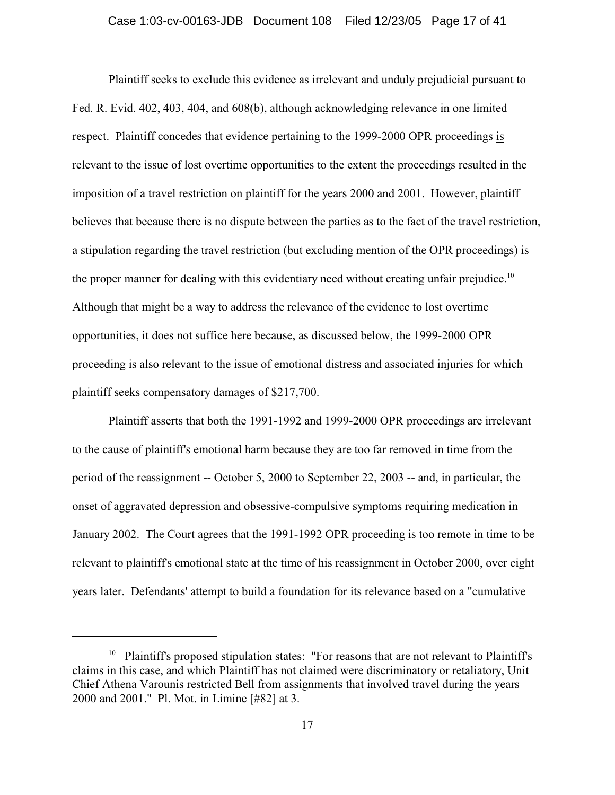Plaintiff seeks to exclude this evidence as irrelevant and unduly prejudicial pursuant to Fed. R. Evid. 402, 403, 404, and 608(b), although acknowledging relevance in one limited respect. Plaintiff concedes that evidence pertaining to the 1999-2000 OPR proceedings is relevant to the issue of lost overtime opportunities to the extent the proceedings resulted in the imposition of a travel restriction on plaintiff for the years 2000 and 2001. However, plaintiff believes that because there is no dispute between the parties as to the fact of the travel restriction, a stipulation regarding the travel restriction (but excluding mention of the OPR proceedings) is the proper manner for dealing with this evidentiary need without creating unfair prejudice.<sup>10</sup> Although that might be a way to address the relevance of the evidence to lost overtime opportunities, it does not suffice here because, as discussed below, the 1999-2000 OPR proceeding is also relevant to the issue of emotional distress and associated injuries for which plaintiff seeks compensatory damages of \$217,700.

Plaintiff asserts that both the 1991-1992 and 1999-2000 OPR proceedings are irrelevant to the cause of plaintiff's emotional harm because they are too far removed in time from the period of the reassignment -- October 5, 2000 to September 22, 2003 -- and, in particular, the onset of aggravated depression and obsessive-compulsive symptoms requiring medication in January 2002. The Court agrees that the 1991-1992 OPR proceeding is too remote in time to be relevant to plaintiff's emotional state at the time of his reassignment in October 2000, over eight years later. Defendants' attempt to build a foundation for its relevance based on a "cumulative

 $10$  Plaintiff's proposed stipulation states: "For reasons that are not relevant to Plaintiff's claims in this case, and which Plaintiff has not claimed were discriminatory or retaliatory, Unit Chief Athena Varounis restricted Bell from assignments that involved travel during the years 2000 and 2001." Pl. Mot. in Limine [#82] at 3.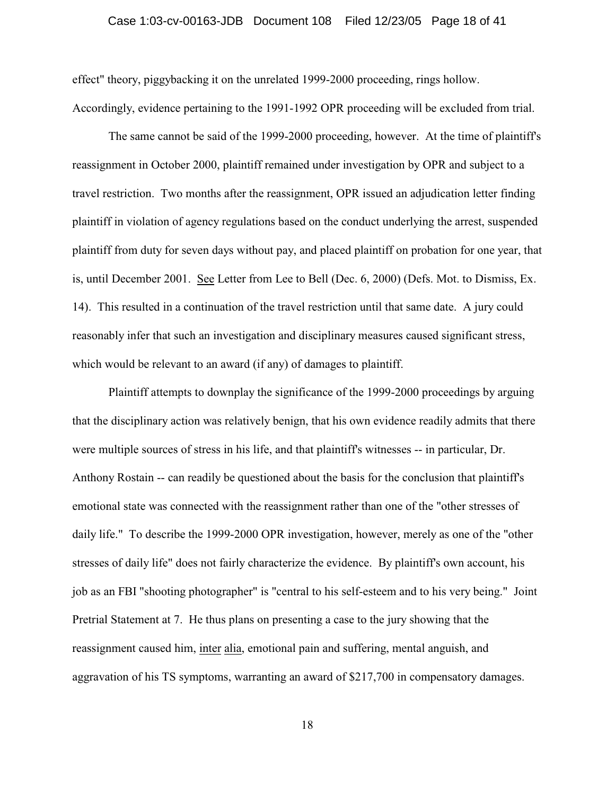## Case 1:03-cv-00163-JDB Document 108 Filed 12/23/05 Page 18 of 41

effect" theory, piggybacking it on the unrelated 1999-2000 proceeding, rings hollow. Accordingly, evidence pertaining to the 1991-1992 OPR proceeding will be excluded from trial.

The same cannot be said of the 1999-2000 proceeding, however. At the time of plaintiff's reassignment in October 2000, plaintiff remained under investigation by OPR and subject to a travel restriction. Two months after the reassignment, OPR issued an adjudication letter finding plaintiff in violation of agency regulations based on the conduct underlying the arrest, suspended plaintiff from duty for seven days without pay, and placed plaintiff on probation for one year, that is, until December 2001. See Letter from Lee to Bell (Dec. 6, 2000) (Defs. Mot. to Dismiss, Ex. 14). This resulted in a continuation of the travel restriction until that same date. A jury could reasonably infer that such an investigation and disciplinary measures caused significant stress, which would be relevant to an award (if any) of damages to plaintiff.

Plaintiff attempts to downplay the significance of the 1999-2000 proceedings by arguing that the disciplinary action was relatively benign, that his own evidence readily admits that there were multiple sources of stress in his life, and that plaintiff's witnesses -- in particular, Dr. Anthony Rostain -- can readily be questioned about the basis for the conclusion that plaintiff's emotional state was connected with the reassignment rather than one of the "other stresses of daily life." To describe the 1999-2000 OPR investigation, however, merely as one of the "other stresses of daily life" does not fairly characterize the evidence. By plaintiff's own account, his job as an FBI "shooting photographer" is "central to his self-esteem and to his very being." Joint Pretrial Statement at 7. He thus plans on presenting a case to the jury showing that the reassignment caused him, inter alia, emotional pain and suffering, mental anguish, and aggravation of his TS symptoms, warranting an award of \$217,700 in compensatory damages.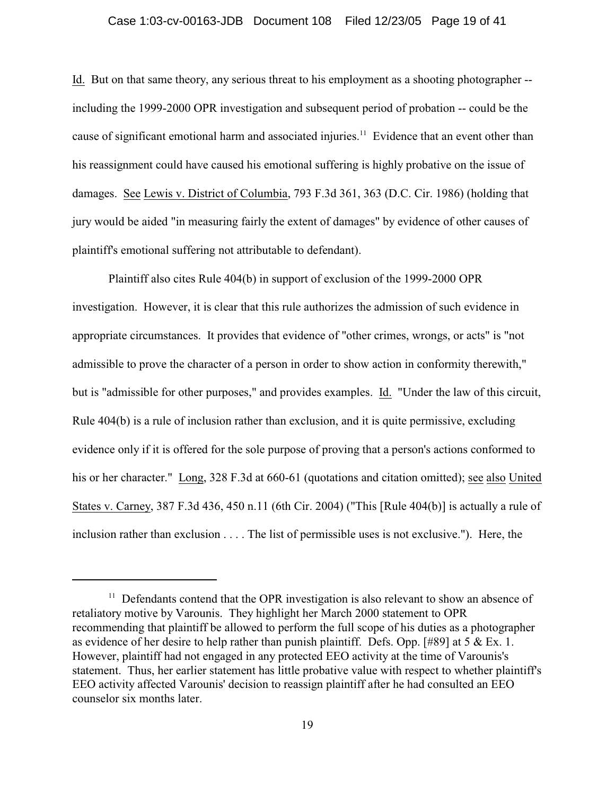#### Case 1:03-cv-00163-JDB Document 108 Filed 12/23/05 Page 19 of 41

Id. But on that same theory, any serious threat to his employment as a shooting photographer - including the 1999-2000 OPR investigation and subsequent period of probation -- could be the cause of significant emotional harm and associated injuries.<sup>11</sup> Evidence that an event other than his reassignment could have caused his emotional suffering is highly probative on the issue of damages. See Lewis v. District of Columbia, 793 F.3d 361, 363 (D.C. Cir. 1986) (holding that jury would be aided "in measuring fairly the extent of damages" by evidence of other causes of plaintiff's emotional suffering not attributable to defendant).

Plaintiff also cites Rule 404(b) in support of exclusion of the 1999-2000 OPR investigation. However, it is clear that this rule authorizes the admission of such evidence in appropriate circumstances. It provides that evidence of "other crimes, wrongs, or acts" is "not admissible to prove the character of a person in order to show action in conformity therewith," but is "admissible for other purposes," and provides examples. Id. "Under the law of this circuit, Rule 404(b) is a rule of inclusion rather than exclusion, and it is quite permissive, excluding evidence only if it is offered for the sole purpose of proving that a person's actions conformed to his or her character." Long, 328 F.3d at 660-61 (quotations and citation omitted); see also United States v. Carney, 387 F.3d 436, 450 n.11 (6th Cir. 2004) ("This [Rule 404(b)] is actually a rule of inclusion rather than exclusion . . . . The list of permissible uses is not exclusive."). Here, the

 $11$  Defendants contend that the OPR investigation is also relevant to show an absence of retaliatory motive by Varounis. They highlight her March 2000 statement to OPR recommending that plaintiff be allowed to perform the full scope of his duties as a photographer as evidence of her desire to help rather than punish plaintiff. Defs. Opp. [#89] at 5 & Ex. 1. However, plaintiff had not engaged in any protected EEO activity at the time of Varounis's statement. Thus, her earlier statement has little probative value with respect to whether plaintiff's EEO activity affected Varounis' decision to reassign plaintiff after he had consulted an EEO counselor six months later.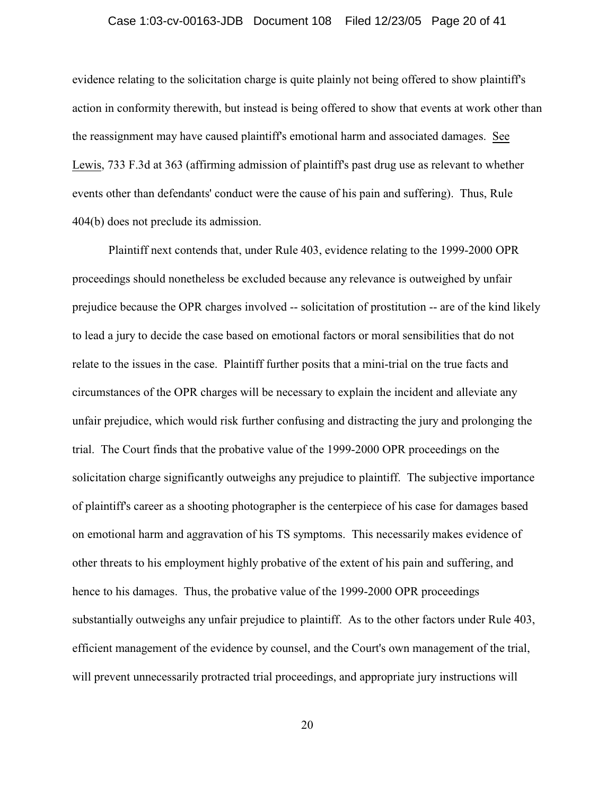## Case 1:03-cv-00163-JDB Document 108 Filed 12/23/05 Page 20 of 41

evidence relating to the solicitation charge is quite plainly not being offered to show plaintiff's action in conformity therewith, but instead is being offered to show that events at work other than the reassignment may have caused plaintiff's emotional harm and associated damages. See Lewis, 733 F.3d at 363 (affirming admission of plaintiff's past drug use as relevant to whether events other than defendants' conduct were the cause of his pain and suffering). Thus, Rule 404(b) does not preclude its admission.

Plaintiff next contends that, under Rule 403, evidence relating to the 1999-2000 OPR proceedings should nonetheless be excluded because any relevance is outweighed by unfair prejudice because the OPR charges involved -- solicitation of prostitution -- are of the kind likely to lead a jury to decide the case based on emotional factors or moral sensibilities that do not relate to the issues in the case. Plaintiff further posits that a mini-trial on the true facts and circumstances of the OPR charges will be necessary to explain the incident and alleviate any unfair prejudice, which would risk further confusing and distracting the jury and prolonging the trial. The Court finds that the probative value of the 1999-2000 OPR proceedings on the solicitation charge significantly outweighs any prejudice to plaintiff. The subjective importance of plaintiff's career as a shooting photographer is the centerpiece of his case for damages based on emotional harm and aggravation of his TS symptoms. This necessarily makes evidence of other threats to his employment highly probative of the extent of his pain and suffering, and hence to his damages. Thus, the probative value of the 1999-2000 OPR proceedings substantially outweighs any unfair prejudice to plaintiff. As to the other factors under Rule 403, efficient management of the evidence by counsel, and the Court's own management of the trial, will prevent unnecessarily protracted trial proceedings, and appropriate jury instructions will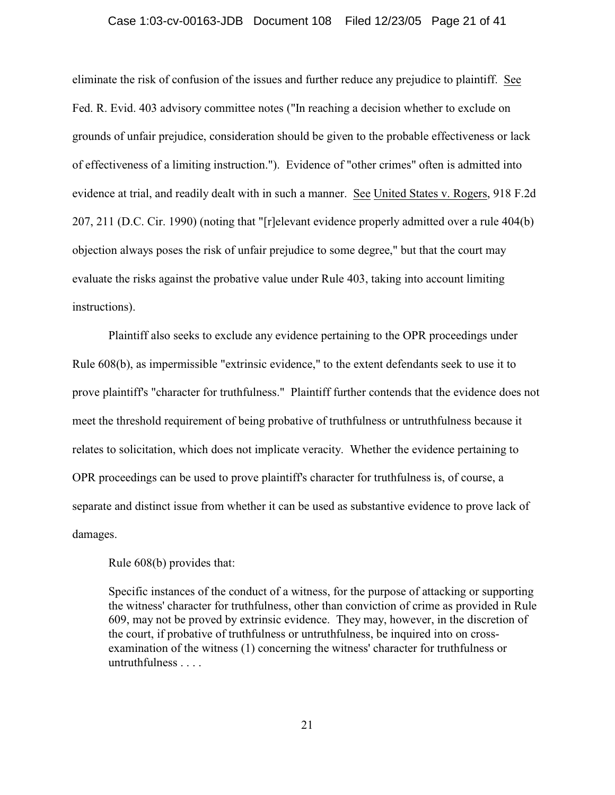#### Case 1:03-cv-00163-JDB Document 108 Filed 12/23/05 Page 21 of 41

eliminate the risk of confusion of the issues and further reduce any prejudice to plaintiff. See Fed. R. Evid. 403 advisory committee notes ("In reaching a decision whether to exclude on grounds of unfair prejudice, consideration should be given to the probable effectiveness or lack of effectiveness of a limiting instruction."). Evidence of "other crimes" often is admitted into evidence at trial, and readily dealt with in such a manner. See United States v. Rogers, 918 F.2d 207, 211 (D.C. Cir. 1990) (noting that "[r]elevant evidence properly admitted over a rule 404(b) objection always poses the risk of unfair prejudice to some degree," but that the court may evaluate the risks against the probative value under Rule 403, taking into account limiting instructions).

Plaintiff also seeks to exclude any evidence pertaining to the OPR proceedings under Rule 608(b), as impermissible "extrinsic evidence," to the extent defendants seek to use it to prove plaintiff's "character for truthfulness." Plaintiff further contends that the evidence does not meet the threshold requirement of being probative of truthfulness or untruthfulness because it relates to solicitation, which does not implicate veracity. Whether the evidence pertaining to OPR proceedings can be used to prove plaintiff's character for truthfulness is, of course, a separate and distinct issue from whether it can be used as substantive evidence to prove lack of damages.

Rule 608(b) provides that:

Specific instances of the conduct of a witness, for the purpose of attacking or supporting the witness' character for truthfulness, other than conviction of crime as provided in Rule 609, may not be proved by extrinsic evidence. They may, however, in the discretion of the court, if probative of truthfulness or untruthfulness, be inquired into on crossexamination of the witness (1) concerning the witness' character for truthfulness or untruthfulness . . . .

21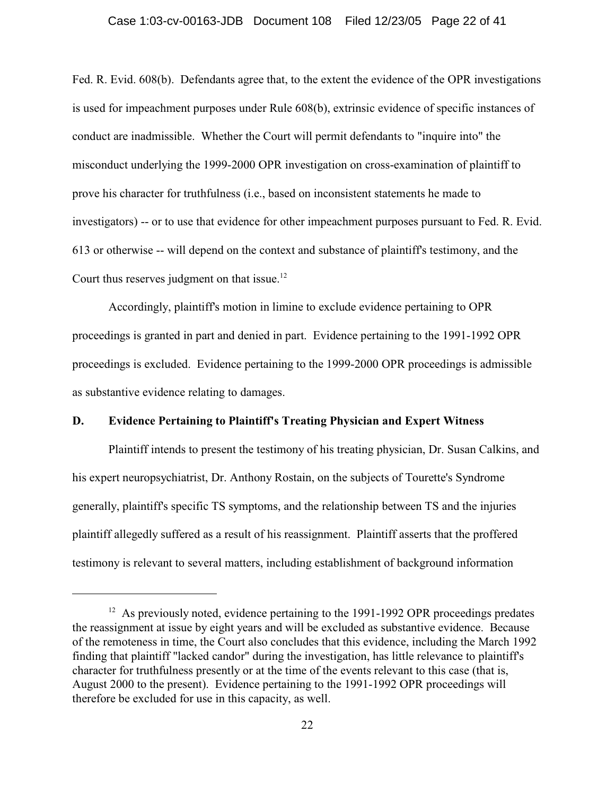#### Case 1:03-cv-00163-JDB Document 108 Filed 12/23/05 Page 22 of 41

Fed. R. Evid. 608(b). Defendants agree that, to the extent the evidence of the OPR investigations is used for impeachment purposes under Rule 608(b), extrinsic evidence of specific instances of conduct are inadmissible. Whether the Court will permit defendants to "inquire into" the misconduct underlying the 1999-2000 OPR investigation on cross-examination of plaintiff to prove his character for truthfulness (i.e., based on inconsistent statements he made to investigators) -- or to use that evidence for other impeachment purposes pursuant to Fed. R. Evid. 613 or otherwise -- will depend on the context and substance of plaintiff's testimony, and the Court thus reserves judgment on that issue.<sup>12</sup>

Accordingly, plaintiff's motion in limine to exclude evidence pertaining to OPR proceedings is granted in part and denied in part. Evidence pertaining to the 1991-1992 OPR proceedings is excluded. Evidence pertaining to the 1999-2000 OPR proceedings is admissible as substantive evidence relating to damages.

## **D. Evidence Pertaining to Plaintiff's Treating Physician and Expert Witness**

Plaintiff intends to present the testimony of his treating physician, Dr. Susan Calkins, and his expert neuropsychiatrist, Dr. Anthony Rostain, on the subjects of Tourette's Syndrome generally, plaintiff's specific TS symptoms, and the relationship between TS and the injuries plaintiff allegedly suffered as a result of his reassignment. Plaintiff asserts that the proffered testimony is relevant to several matters, including establishment of background information

 $12$  As previously noted, evidence pertaining to the 1991-1992 OPR proceedings predates the reassignment at issue by eight years and will be excluded as substantive evidence. Because of the remoteness in time, the Court also concludes that this evidence, including the March 1992 finding that plaintiff "lacked candor" during the investigation, has little relevance to plaintiff's character for truthfulness presently or at the time of the events relevant to this case (that is, August 2000 to the present). Evidence pertaining to the 1991-1992 OPR proceedings will therefore be excluded for use in this capacity, as well.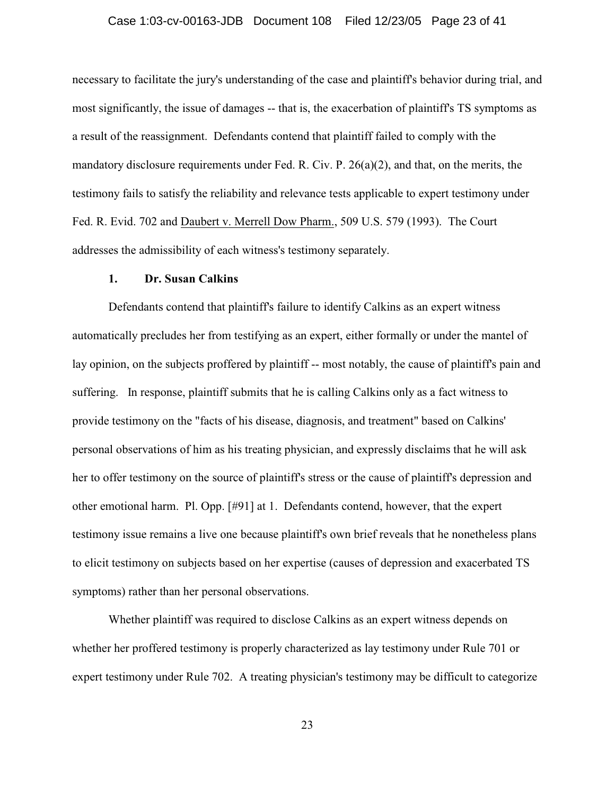## Case 1:03-cv-00163-JDB Document 108 Filed 12/23/05 Page 23 of 41

necessary to facilitate the jury's understanding of the case and plaintiff's behavior during trial, and most significantly, the issue of damages -- that is, the exacerbation of plaintiff's TS symptoms as a result of the reassignment. Defendants contend that plaintiff failed to comply with the mandatory disclosure requirements under Fed. R. Civ. P. 26(a)(2), and that, on the merits, the testimony fails to satisfy the reliability and relevance tests applicable to expert testimony under Fed. R. Evid. 702 and Daubert v. Merrell Dow Pharm., 509 U.S. 579 (1993). The Court addresses the admissibility of each witness's testimony separately.

## **1. Dr. Susan Calkins**

Defendants contend that plaintiff's failure to identify Calkins as an expert witness automatically precludes her from testifying as an expert, either formally or under the mantel of lay opinion, on the subjects proffered by plaintiff -- most notably, the cause of plaintiff's pain and suffering. In response, plaintiff submits that he is calling Calkins only as a fact witness to provide testimony on the "facts of his disease, diagnosis, and treatment" based on Calkins' personal observations of him as his treating physician, and expressly disclaims that he will ask her to offer testimony on the source of plaintiff's stress or the cause of plaintiff's depression and other emotional harm. Pl. Opp. [#91] at 1. Defendants contend, however, that the expert testimony issue remains a live one because plaintiff's own brief reveals that he nonetheless plans to elicit testimony on subjects based on her expertise (causes of depression and exacerbated TS symptoms) rather than her personal observations.

Whether plaintiff was required to disclose Calkins as an expert witness depends on whether her proffered testimony is properly characterized as lay testimony under Rule 701 or expert testimony under Rule 702. A treating physician's testimony may be difficult to categorize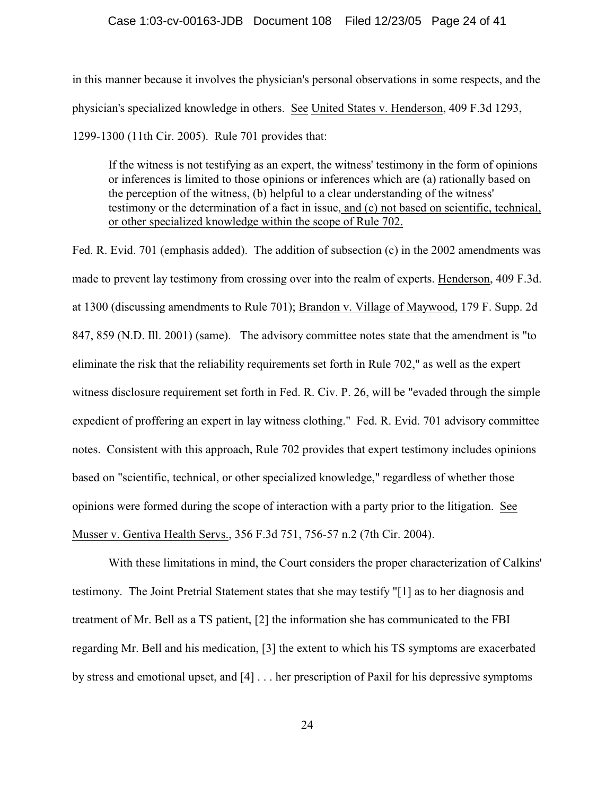in this manner because it involves the physician's personal observations in some respects, and the physician's specialized knowledge in others. See United States v. Henderson, 409 F.3d 1293, 1299-1300 (11th Cir. 2005). Rule 701 provides that:

If the witness is not testifying as an expert, the witness' testimony in the form of opinions or inferences is limited to those opinions or inferences which are (a) rationally based on the perception of the witness, (b) helpful to a clear understanding of the witness' testimony or the determination of a fact in issue, and (c) not based on scientific, technical, or other specialized knowledge within the scope of Rule 702.

Fed. R. Evid. 701 (emphasis added). The addition of subsection (c) in the 2002 amendments was made to prevent lay testimony from crossing over into the realm of experts. Henderson, 409 F.3d. at 1300 (discussing amendments to Rule 701); Brandon v. Village of Maywood, 179 F. Supp. 2d 847, 859 (N.D. Ill. 2001) (same). The advisory committee notes state that the amendment is "to eliminate the risk that the reliability requirements set forth in Rule 702," as well as the expert witness disclosure requirement set forth in Fed. R. Civ. P. 26, will be "evaded through the simple expedient of proffering an expert in lay witness clothing." Fed. R. Evid. 701 advisory committee notes. Consistent with this approach, Rule 702 provides that expert testimony includes opinions based on "scientific, technical, or other specialized knowledge," regardless of whether those opinions were formed during the scope of interaction with a party prior to the litigation. See Musser v. Gentiva Health Servs., 356 F.3d 751, 756-57 n.2 (7th Cir. 2004).

With these limitations in mind, the Court considers the proper characterization of Calkins' testimony. The Joint Pretrial Statement states that she may testify "[1] as to her diagnosis and treatment of Mr. Bell as a TS patient, [2] the information she has communicated to the FBI regarding Mr. Bell and his medication, [3] the extent to which his TS symptoms are exacerbated by stress and emotional upset, and [4] . . . her prescription of Paxil for his depressive symptoms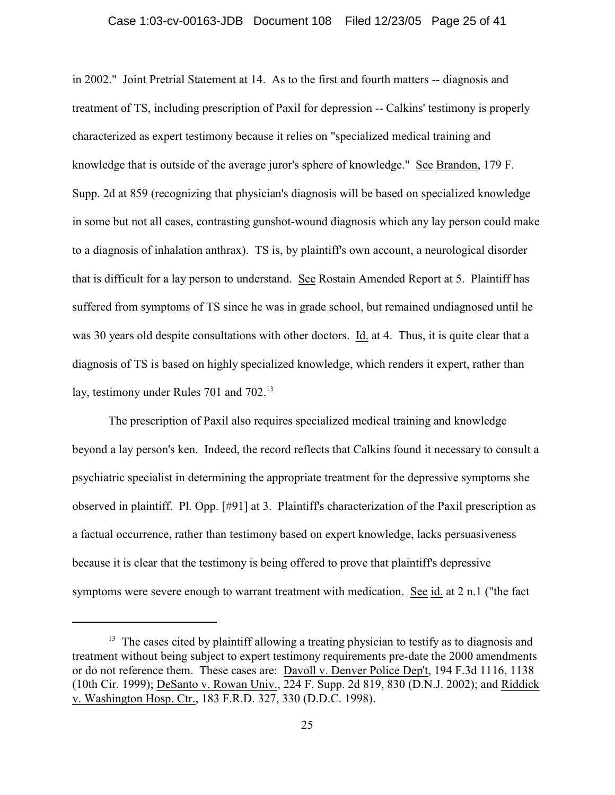## Case 1:03-cv-00163-JDB Document 108 Filed 12/23/05 Page 25 of 41

in 2002." Joint Pretrial Statement at 14. As to the first and fourth matters -- diagnosis and treatment of TS, including prescription of Paxil for depression -- Calkins' testimony is properly characterized as expert testimony because it relies on "specialized medical training and knowledge that is outside of the average juror's sphere of knowledge." See Brandon, 179 F. Supp. 2d at 859 (recognizing that physician's diagnosis will be based on specialized knowledge in some but not all cases, contrasting gunshot-wound diagnosis which any lay person could make to a diagnosis of inhalation anthrax). TS is, by plaintiff's own account, a neurological disorder that is difficult for a lay person to understand. See Rostain Amended Report at 5. Plaintiff has suffered from symptoms of TS since he was in grade school, but remained undiagnosed until he was 30 years old despite consultations with other doctors. Id. at 4. Thus, it is quite clear that a diagnosis of TS is based on highly specialized knowledge, which renders it expert, rather than lay, testimony under Rules 701 and 702.<sup>13</sup>

The prescription of Paxil also requires specialized medical training and knowledge beyond a lay person's ken. Indeed, the record reflects that Calkins found it necessary to consult a psychiatric specialist in determining the appropriate treatment for the depressive symptoms she observed in plaintiff. Pl. Opp. [#91] at 3. Plaintiff's characterization of the Paxil prescription as a factual occurrence, rather than testimony based on expert knowledge, lacks persuasiveness because it is clear that the testimony is being offered to prove that plaintiff's depressive symptoms were severe enough to warrant treatment with medication. See id. at 2 n.1 ("the fact

 $13$  The cases cited by plaintiff allowing a treating physician to testify as to diagnosis and treatment without being subject to expert testimony requirements pre-date the 2000 amendments or do not reference them. These cases are: Davoll v. Denver Police Dep't, 194 F.3d 1116, 1138 (10th Cir. 1999); DeSanto v. Rowan Univ., 224 F. Supp. 2d 819, 830 (D.N.J. 2002); and Riddick v. Washington Hosp. Ctr., 183 F.R.D. 327, 330 (D.D.C. 1998).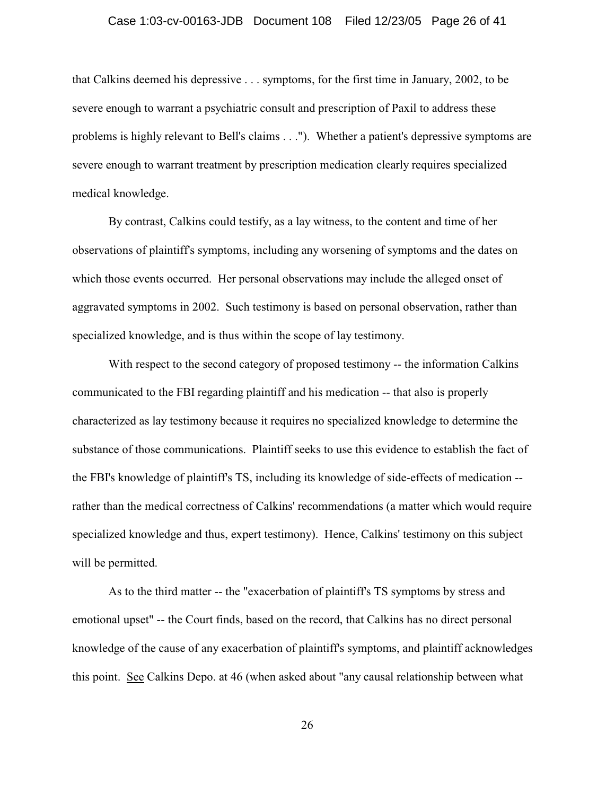## Case 1:03-cv-00163-JDB Document 108 Filed 12/23/05 Page 26 of 41

that Calkins deemed his depressive . . . symptoms, for the first time in January, 2002, to be severe enough to warrant a psychiatric consult and prescription of Paxil to address these problems is highly relevant to Bell's claims . . ."). Whether a patient's depressive symptoms are severe enough to warrant treatment by prescription medication clearly requires specialized medical knowledge.

By contrast, Calkins could testify, as a lay witness, to the content and time of her observations of plaintiff's symptoms, including any worsening of symptoms and the dates on which those events occurred. Her personal observations may include the alleged onset of aggravated symptoms in 2002. Such testimony is based on personal observation, rather than specialized knowledge, and is thus within the scope of lay testimony.

With respect to the second category of proposed testimony -- the information Calkins communicated to the FBI regarding plaintiff and his medication -- that also is properly characterized as lay testimony because it requires no specialized knowledge to determine the substance of those communications. Plaintiff seeks to use this evidence to establish the fact of the FBI's knowledge of plaintiff's TS, including its knowledge of side-effects of medication - rather than the medical correctness of Calkins' recommendations (a matter which would require specialized knowledge and thus, expert testimony). Hence, Calkins' testimony on this subject will be permitted.

As to the third matter -- the "exacerbation of plaintiff's TS symptoms by stress and emotional upset" -- the Court finds, based on the record, that Calkins has no direct personal knowledge of the cause of any exacerbation of plaintiff's symptoms, and plaintiff acknowledges this point. See Calkins Depo. at 46 (when asked about "any causal relationship between what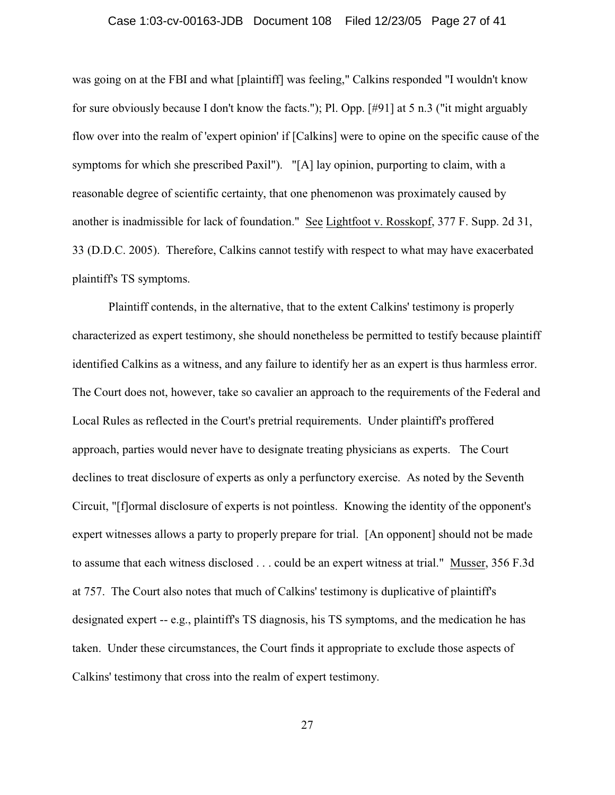## Case 1:03-cv-00163-JDB Document 108 Filed 12/23/05 Page 27 of 41

was going on at the FBI and what [plaintiff] was feeling," Calkins responded "I wouldn't know for sure obviously because I don't know the facts."); Pl. Opp. [#91] at 5 n.3 ("it might arguably flow over into the realm of 'expert opinion' if [Calkins] were to opine on the specific cause of the symptoms for which she prescribed Paxil"). "[A] lay opinion, purporting to claim, with a reasonable degree of scientific certainty, that one phenomenon was proximately caused by another is inadmissible for lack of foundation." See Lightfoot v. Rosskopf, 377 F. Supp. 2d 31, 33 (D.D.C. 2005). Therefore, Calkins cannot testify with respect to what may have exacerbated plaintiff's TS symptoms.

Plaintiff contends, in the alternative, that to the extent Calkins' testimony is properly characterized as expert testimony, she should nonetheless be permitted to testify because plaintiff identified Calkins as a witness, and any failure to identify her as an expert is thus harmless error. The Court does not, however, take so cavalier an approach to the requirements of the Federal and Local Rules as reflected in the Court's pretrial requirements. Under plaintiff's proffered approach, parties would never have to designate treating physicians as experts. The Court declines to treat disclosure of experts as only a perfunctory exercise. As noted by the Seventh Circuit, "[f]ormal disclosure of experts is not pointless. Knowing the identity of the opponent's expert witnesses allows a party to properly prepare for trial. [An opponent] should not be made to assume that each witness disclosed . . . could be an expert witness at trial." Musser, 356 F.3d at 757. The Court also notes that much of Calkins' testimony is duplicative of plaintiff's designated expert -- e.g., plaintiff's TS diagnosis, his TS symptoms, and the medication he has taken. Under these circumstances, the Court finds it appropriate to exclude those aspects of Calkins' testimony that cross into the realm of expert testimony.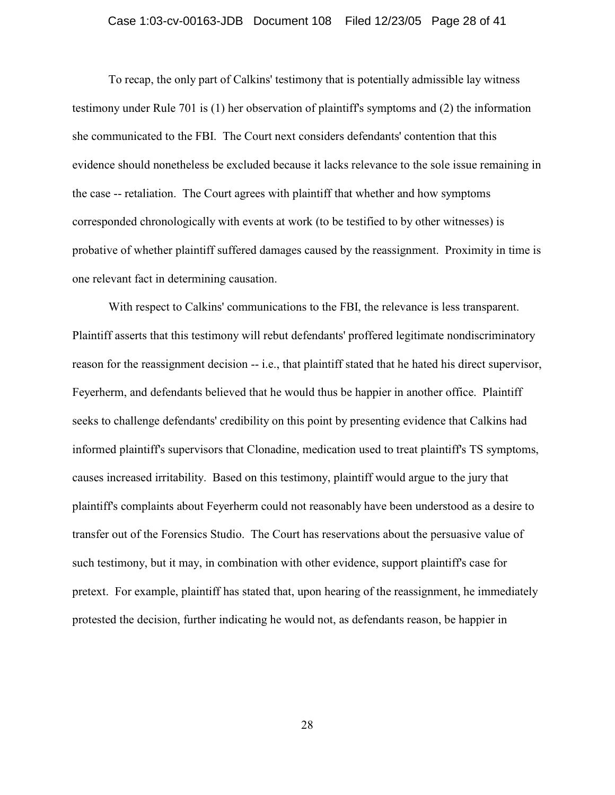## Case 1:03-cv-00163-JDB Document 108 Filed 12/23/05 Page 28 of 41

To recap, the only part of Calkins' testimony that is potentially admissible lay witness testimony under Rule 701 is (1) her observation of plaintiff's symptoms and (2) the information she communicated to the FBI. The Court next considers defendants' contention that this evidence should nonetheless be excluded because it lacks relevance to the sole issue remaining in the case -- retaliation. The Court agrees with plaintiff that whether and how symptoms corresponded chronologically with events at work (to be testified to by other witnesses) is probative of whether plaintiff suffered damages caused by the reassignment. Proximity in time is one relevant fact in determining causation.

With respect to Calkins' communications to the FBI, the relevance is less transparent. Plaintiff asserts that this testimony will rebut defendants' proffered legitimate nondiscriminatory reason for the reassignment decision -- i.e., that plaintiff stated that he hated his direct supervisor, Feyerherm, and defendants believed that he would thus be happier in another office. Plaintiff seeks to challenge defendants' credibility on this point by presenting evidence that Calkins had informed plaintiff's supervisors that Clonadine, medication used to treat plaintiff's TS symptoms, causes increased irritability. Based on this testimony, plaintiff would argue to the jury that plaintiff's complaints about Feyerherm could not reasonably have been understood as a desire to transfer out of the Forensics Studio. The Court has reservations about the persuasive value of such testimony, but it may, in combination with other evidence, support plaintiff's case for pretext. For example, plaintiff has stated that, upon hearing of the reassignment, he immediately protested the decision, further indicating he would not, as defendants reason, be happier in

28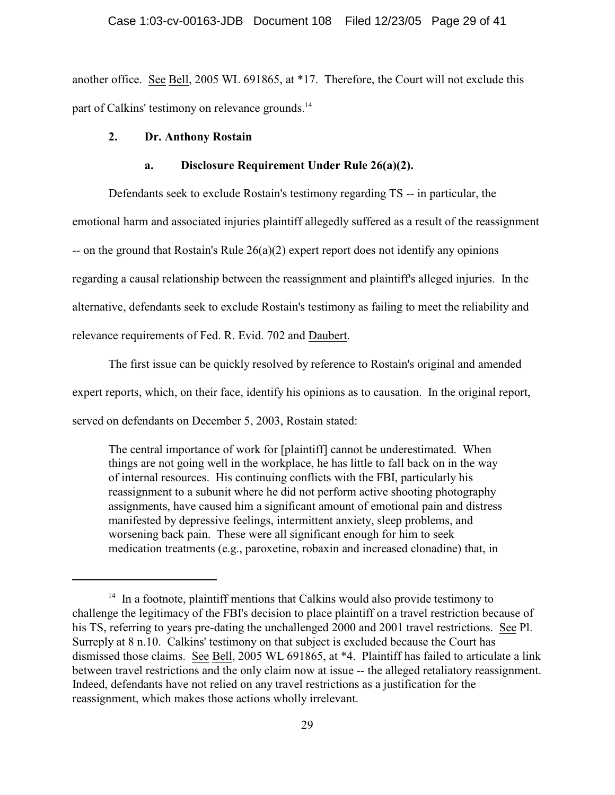another office. See Bell, 2005 WL 691865, at \*17. Therefore, the Court will not exclude this part of Calkins' testimony on relevance grounds.<sup>14</sup>

## **2. Dr. Anthony Rostain**

## **a. Disclosure Requirement Under Rule 26(a)(2).**

Defendants seek to exclude Rostain's testimony regarding TS -- in particular, the

emotional harm and associated injuries plaintiff allegedly suffered as a result of the reassignment

-- on the ground that Rostain's Rule 26(a)(2) expert report does not identify any opinions

regarding a causal relationship between the reassignment and plaintiff's alleged injuries. In the

alternative, defendants seek to exclude Rostain's testimony as failing to meet the reliability and

relevance requirements of Fed. R. Evid. 702 and Daubert.

The first issue can be quickly resolved by reference to Rostain's original and amended expert reports, which, on their face, identify his opinions as to causation. In the original report, served on defendants on December 5, 2003, Rostain stated:

The central importance of work for [plaintiff] cannot be underestimated. When things are not going well in the workplace, he has little to fall back on in the way of internal resources. His continuing conflicts with the FBI, particularly his reassignment to a subunit where he did not perform active shooting photography assignments, have caused him a significant amount of emotional pain and distress manifested by depressive feelings, intermittent anxiety, sleep problems, and worsening back pain. These were all significant enough for him to seek medication treatments (e.g., paroxetine, robaxin and increased clonadine) that, in

 $14$  In a footnote, plaintiff mentions that Calkins would also provide testimony to challenge the legitimacy of the FBI's decision to place plaintiff on a travel restriction because of his TS, referring to years pre-dating the unchallenged 2000 and 2001 travel restrictions. See Pl. Surreply at 8 n.10. Calkins' testimony on that subject is excluded because the Court has dismissed those claims. See Bell, 2005 WL 691865, at \*4. Plaintiff has failed to articulate a link between travel restrictions and the only claim now at issue -- the alleged retaliatory reassignment. Indeed, defendants have not relied on any travel restrictions as a justification for the reassignment, which makes those actions wholly irrelevant.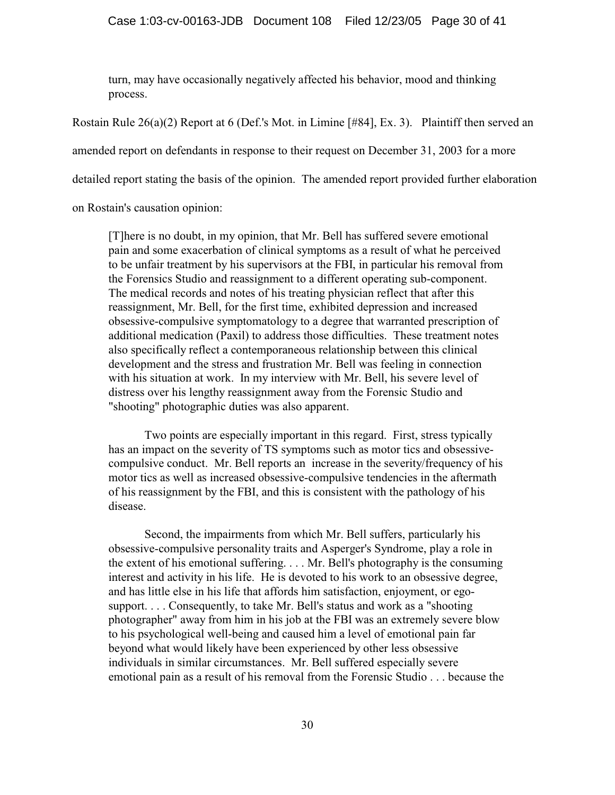turn, may have occasionally negatively affected his behavior, mood and thinking process.

Rostain Rule 26(a)(2) Report at 6 (Def.'s Mot. in Limine [#84], Ex. 3). Plaintiff then served an amended report on defendants in response to their request on December 31, 2003 for a more detailed report stating the basis of the opinion. The amended report provided further elaboration on Rostain's causation opinion:

[T]here is no doubt, in my opinion, that Mr. Bell has suffered severe emotional pain and some exacerbation of clinical symptoms as a result of what he perceived to be unfair treatment by his supervisors at the FBI, in particular his removal from the Forensics Studio and reassignment to a different operating sub-component. The medical records and notes of his treating physician reflect that after this reassignment, Mr. Bell, for the first time, exhibited depression and increased obsessive-compulsive symptomatology to a degree that warranted prescription of additional medication (Paxil) to address those difficulties. These treatment notes also specifically reflect a contemporaneous relationship between this clinical development and the stress and frustration Mr. Bell was feeling in connection with his situation at work. In my interview with Mr. Bell, his severe level of distress over his lengthy reassignment away from the Forensic Studio and "shooting" photographic duties was also apparent.

Two points are especially important in this regard. First, stress typically has an impact on the severity of TS symptoms such as motor tics and obsessivecompulsive conduct. Mr. Bell reports an increase in the severity/frequency of his motor tics as well as increased obsessive-compulsive tendencies in the aftermath of his reassignment by the FBI, and this is consistent with the pathology of his disease.

Second, the impairments from which Mr. Bell suffers, particularly his obsessive-compulsive personality traits and Asperger's Syndrome, play a role in the extent of his emotional suffering. . . . Mr. Bell's photography is the consuming interest and activity in his life. He is devoted to his work to an obsessive degree, and has little else in his life that affords him satisfaction, enjoyment, or egosupport. . . . Consequently, to take Mr. Bell's status and work as a "shooting photographer" away from him in his job at the FBI was an extremely severe blow to his psychological well-being and caused him a level of emotional pain far beyond what would likely have been experienced by other less obsessive individuals in similar circumstances. Mr. Bell suffered especially severe emotional pain as a result of his removal from the Forensic Studio . . . because the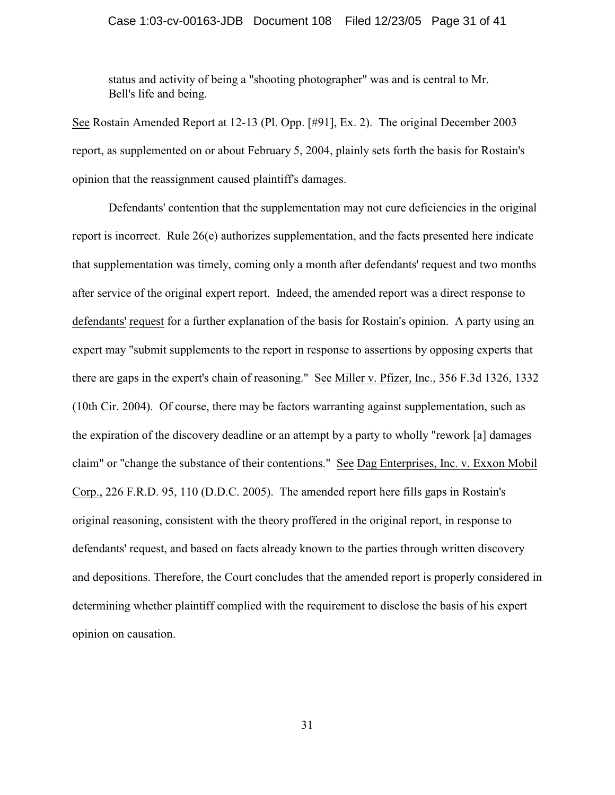## Case 1:03-cv-00163-JDB Document 108 Filed 12/23/05 Page 31 of 41

status and activity of being a "shooting photographer" was and is central to Mr. Bell's life and being.

See Rostain Amended Report at 12-13 (Pl. Opp. [#91], Ex. 2). The original December 2003 report, as supplemented on or about February 5, 2004, plainly sets forth the basis for Rostain's opinion that the reassignment caused plaintiff's damages.

Defendants' contention that the supplementation may not cure deficiencies in the original report is incorrect. Rule 26(e) authorizes supplementation, and the facts presented here indicate that supplementation was timely, coming only a month after defendants' request and two months after service of the original expert report. Indeed, the amended report was a direct response to defendants' request for a further explanation of the basis for Rostain's opinion. A party using an expert may "submit supplements to the report in response to assertions by opposing experts that there are gaps in the expert's chain of reasoning." See Miller v. Pfizer, Inc., 356 F.3d 1326, 1332 (10th Cir. 2004). Of course, there may be factors warranting against supplementation, such as the expiration of the discovery deadline or an attempt by a party to wholly "rework [a] damages claim" or "change the substance of their contentions." See Dag Enterprises, Inc. v. Exxon Mobil Corp., 226 F.R.D. 95, 110 (D.D.C. 2005). The amended report here fills gaps in Rostain's original reasoning, consistent with the theory proffered in the original report, in response to defendants' request, and based on facts already known to the parties through written discovery and depositions. Therefore, the Court concludes that the amended report is properly considered in determining whether plaintiff complied with the requirement to disclose the basis of his expert opinion on causation.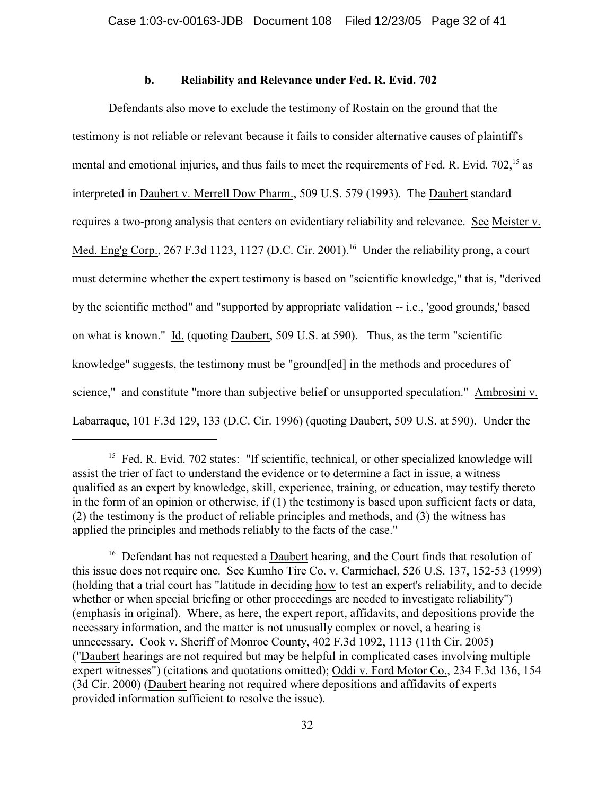## **b. Reliability and Relevance under Fed. R. Evid. 702**

Defendants also move to exclude the testimony of Rostain on the ground that the testimony is not reliable or relevant because it fails to consider alternative causes of plaintiff's mental and emotional injuries, and thus fails to meet the requirements of Fed. R. Evid.  $702<sup>15</sup>$  as interpreted in Daubert v. Merrell Dow Pharm., 509 U.S. 579 (1993). The Daubert standard requires a two-prong analysis that centers on evidentiary reliability and relevance. See Meister v. Med. Eng'g Corp., 267 F.3d 1123, 1127 (D.C. Cir. 2001).<sup>16</sup> Under the reliability prong, a court must determine whether the expert testimony is based on "scientific knowledge," that is, "derived by the scientific method" and "supported by appropriate validation -- i.e., 'good grounds,' based on what is known." Id. (quoting Daubert, 509 U.S. at 590). Thus, as the term "scientific knowledge" suggests, the testimony must be "ground[ed] in the methods and procedures of science," and constitute "more than subjective belief or unsupported speculation." Ambrosini v. Labarraque, 101 F.3d 129, 133 (D.C. Cir. 1996) (quoting Daubert, 509 U.S. at 590). Under the

 $^{15}$  Fed. R. Evid. 702 states: "If scientific, technical, or other specialized knowledge will assist the trier of fact to understand the evidence or to determine a fact in issue, a witness qualified as an expert by knowledge, skill, experience, training, or education, may testify thereto in the form of an opinion or otherwise, if  $(1)$  the testimony is based upon sufficient facts or data, (2) the testimony is the product of reliable principles and methods, and (3) the witness has applied the principles and methods reliably to the facts of the case."

 $16$  Defendant has not requested a Daubert hearing, and the Court finds that resolution of this issue does not require one. See Kumho Tire Co. v. Carmichael, 526 U.S. 137, 152-53 (1999) (holding that a trial court has "latitude in deciding how to test an expert's reliability, and to decide whether or when special briefing or other proceedings are needed to investigate reliability") (emphasis in original). Where, as here, the expert report, affidavits, and depositions provide the necessary information, and the matter is not unusually complex or novel, a hearing is unnecessary. Cook v. Sheriff of Monroe County, 402 F.3d 1092, 1113 (11th Cir. 2005) ("Daubert hearings are not required but may be helpful in complicated cases involving multiple expert witnesses") (citations and quotations omitted); Oddi v. Ford Motor Co., 234 F.3d 136, 154 (3d Cir. 2000) (Daubert hearing not required where depositions and affidavits of experts provided information sufficient to resolve the issue).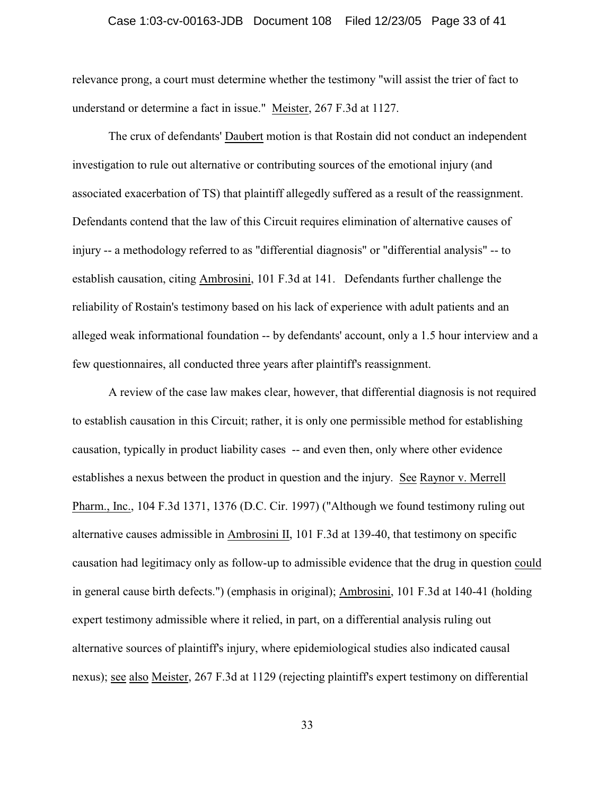## Case 1:03-cv-00163-JDB Document 108 Filed 12/23/05 Page 33 of 41

relevance prong, a court must determine whether the testimony "will assist the trier of fact to understand or determine a fact in issue." Meister, 267 F.3d at 1127.

The crux of defendants' Daubert motion is that Rostain did not conduct an independent investigation to rule out alternative or contributing sources of the emotional injury (and associated exacerbation of TS) that plaintiff allegedly suffered as a result of the reassignment. Defendants contend that the law of this Circuit requires elimination of alternative causes of injury -- a methodology referred to as "differential diagnosis" or "differential analysis" -- to establish causation, citing Ambrosini, 101 F.3d at 141. Defendants further challenge the reliability of Rostain's testimony based on his lack of experience with adult patients and an alleged weak informational foundation -- by defendants' account, only a 1.5 hour interview and a few questionnaires, all conducted three years after plaintiff's reassignment.

A review of the case law makes clear, however, that differential diagnosis is not required to establish causation in this Circuit; rather, it is only one permissible method for establishing causation, typically in product liability cases -- and even then, only where other evidence establishes a nexus between the product in question and the injury. See Raynor v. Merrell Pharm., Inc., 104 F.3d 1371, 1376 (D.C. Cir. 1997) ("Although we found testimony ruling out alternative causes admissible in Ambrosini II, 101 F.3d at 139-40, that testimony on specific causation had legitimacy only as follow-up to admissible evidence that the drug in question could in general cause birth defects.") (emphasis in original); Ambrosini, 101 F.3d at 140-41 (holding expert testimony admissible where it relied, in part, on a differential analysis ruling out alternative sources of plaintiff's injury, where epidemiological studies also indicated causal nexus); see also Meister, 267 F.3d at 1129 (rejecting plaintiff's expert testimony on differential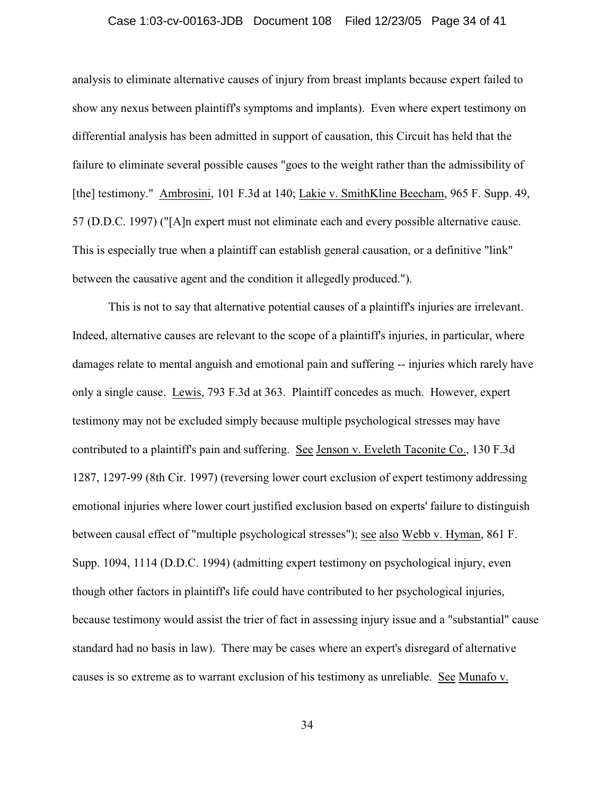## Case 1:03-cv-00163-JDB Document 108 Filed 12/23/05 Page 34 of 41

analysis to eliminate alternative causes of injury from breast implants because expert failed to show any nexus between plaintiff's symptoms and implants). Even where expert testimony on differential analysis has been admitted in support of causation, this Circuit has held that the failure to eliminate several possible causes "goes to the weight rather than the admissibility of [the] testimony." Ambrosini, 101 F.3d at 140; Lakie v. SmithKline Beecham, 965 F. Supp. 49, 57 (D.D.C. 1997) ("[A]n expert must not eliminate each and every possible alternative cause. This is especially true when a plaintiff can establish general causation, or a definitive "link" between the causative agent and the condition it allegedly produced.").

This is not to say that alternative potential causes of a plaintiff's injuries are irrelevant. Indeed, alternative causes are relevant to the scope of a plaintiff's injuries, in particular, where damages relate to mental anguish and emotional pain and suffering -- injuries which rarely have only a single cause. Lewis, 793 F.3d at 363. Plaintiff concedes as much. However, expert testimony may not be excluded simply because multiple psychological stresses may have contributed to a plaintiff's pain and suffering. See Jenson v. Eveleth Taconite Co., 130 F.3d 1287, 1297-99 (8th Cir. 1997) (reversing lower court exclusion of expert testimony addressing emotional injuries where lower court justified exclusion based on experts' failure to distinguish between causal effect of "multiple psychological stresses"); see also Webb v. Hyman, 861 F. Supp. 1094, 1114 (D.D.C. 1994) (admitting expert testimony on psychological injury, even though other factors in plaintiff's life could have contributed to her psychological injuries, because testimony would assist the trier of fact in assessing injury issue and a "substantial" cause standard had no basis in law). There may be cases where an expert's disregard of alternative causes is so extreme as to warrant exclusion of his testimony as unreliable. See Munafo v.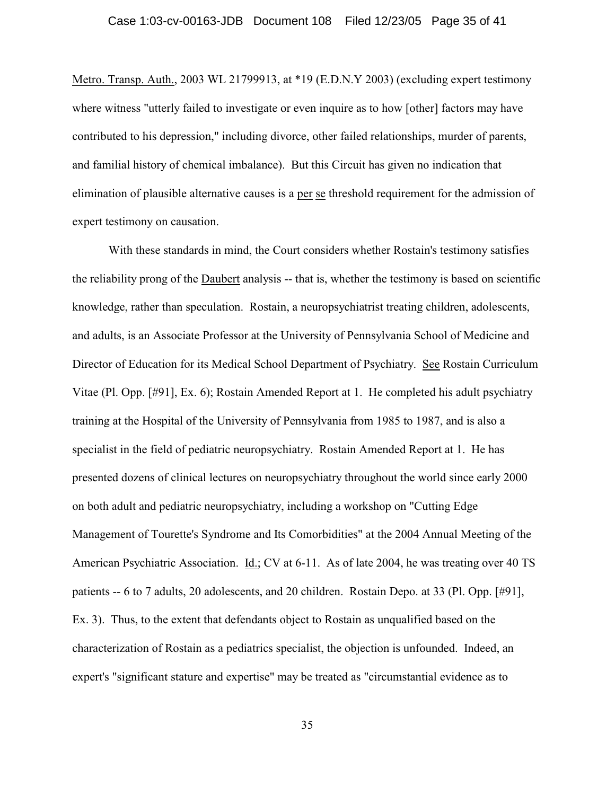Metro. Transp. Auth., 2003 WL 21799913, at \*19 (E.D.N.Y 2003) (excluding expert testimony where witness "utterly failed to investigate or even inquire as to how [other] factors may have contributed to his depression," including divorce, other failed relationships, murder of parents, and familial history of chemical imbalance). But this Circuit has given no indication that elimination of plausible alternative causes is a per se threshold requirement for the admission of expert testimony on causation.

With these standards in mind, the Court considers whether Rostain's testimony satisfies the reliability prong of the Daubert analysis -- that is, whether the testimony is based on scientific knowledge, rather than speculation. Rostain, a neuropsychiatrist treating children, adolescents, and adults, is an Associate Professor at the University of Pennsylvania School of Medicine and Director of Education for its Medical School Department of Psychiatry. See Rostain Curriculum Vitae (Pl. Opp. [#91], Ex. 6); Rostain Amended Report at 1. He completed his adult psychiatry training at the Hospital of the University of Pennsylvania from 1985 to 1987, and is also a specialist in the field of pediatric neuropsychiatry. Rostain Amended Report at 1. He has presented dozens of clinical lectures on neuropsychiatry throughout the world since early 2000 on both adult and pediatric neuropsychiatry, including a workshop on "Cutting Edge Management of Tourette's Syndrome and Its Comorbidities" at the 2004 Annual Meeting of the American Psychiatric Association. Id.; CV at 6-11. As of late 2004, he was treating over 40 TS patients -- 6 to 7 adults, 20 adolescents, and 20 children. Rostain Depo. at 33 (Pl. Opp. [#91], Ex. 3). Thus, to the extent that defendants object to Rostain as unqualified based on the characterization of Rostain as a pediatrics specialist, the objection is unfounded. Indeed, an expert's "significant stature and expertise" may be treated as "circumstantial evidence as to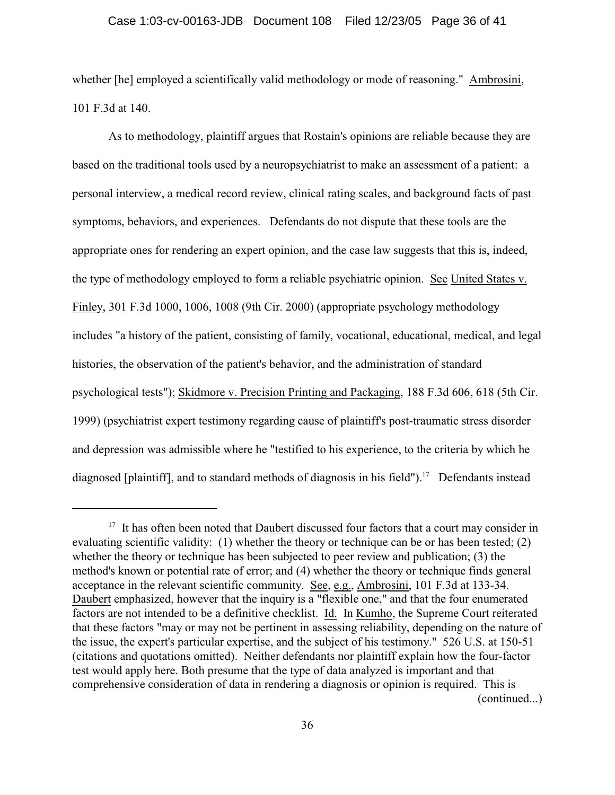whether [he] employed a scientifically valid methodology or mode of reasoning." Ambrosini, 101 F.3d at 140.

As to methodology, plaintiff argues that Rostain's opinions are reliable because they are based on the traditional tools used by a neuropsychiatrist to make an assessment of a patient: a personal interview, a medical record review, clinical rating scales, and background facts of past symptoms, behaviors, and experiences. Defendants do not dispute that these tools are the appropriate ones for rendering an expert opinion, and the case law suggests that this is, indeed, the type of methodology employed to form a reliable psychiatric opinion. See United States v. Finley, 301 F.3d 1000, 1006, 1008 (9th Cir. 2000) (appropriate psychology methodology includes "a history of the patient, consisting of family, vocational, educational, medical, and legal histories, the observation of the patient's behavior, and the administration of standard psychological tests"); Skidmore v. Precision Printing and Packaging, 188 F.3d 606, 618 (5th Cir. 1999) (psychiatrist expert testimony regarding cause of plaintiff's post-traumatic stress disorder and depression was admissible where he "testified to his experience, to the criteria by which he diagnosed [plaintiff], and to standard methods of diagnosis in his field").<sup>17</sup> Defendants instead

<sup>&</sup>lt;sup>17</sup> It has often been noted that **Daubert** discussed four factors that a court may consider in evaluating scientific validity: (1) whether the theory or technique can be or has been tested; (2) whether the theory or technique has been subjected to peer review and publication; (3) the method's known or potential rate of error; and (4) whether the theory or technique finds general acceptance in the relevant scientific community. See, e.g., Ambrosini, 101 F.3d at 133-34. Daubert emphasized, however that the inquiry is a "flexible one," and that the four enumerated factors are not intended to be a definitive checklist. Id. In Kumho, the Supreme Court reiterated that these factors "may or may not be pertinent in assessing reliability, depending on the nature of the issue, the expert's particular expertise, and the subject of his testimony." 526 U.S. at 150-51 (citations and quotations omitted). Neither defendants nor plaintiff explain how the four-factor test would apply here. Both presume that the type of data analyzed is important and that comprehensive consideration of data in rendering a diagnosis or opinion is required. This is (continued...)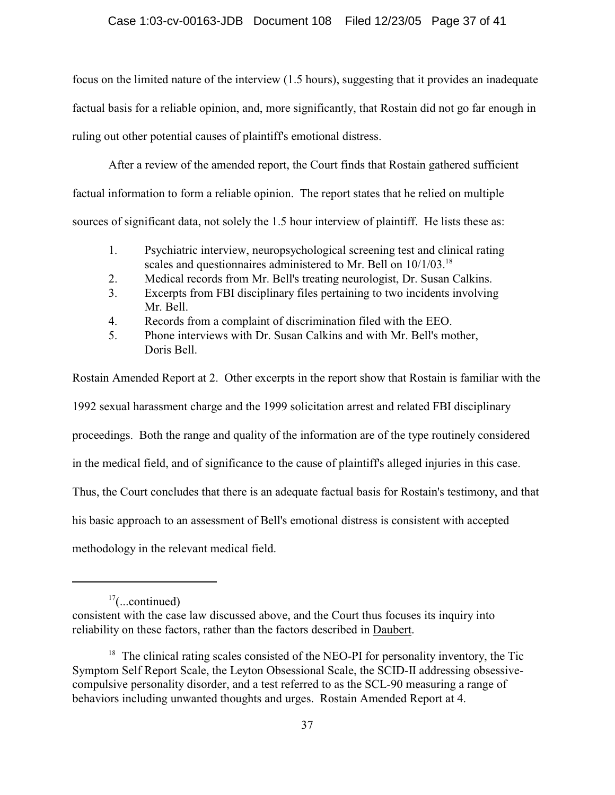## Case 1:03-cv-00163-JDB Document 108 Filed 12/23/05 Page 37 of 41

focus on the limited nature of the interview (1.5 hours), suggesting that it provides an inadequate factual basis for a reliable opinion, and, more significantly, that Rostain did not go far enough in ruling out other potential causes of plaintiff's emotional distress.

After a review of the amended report, the Court finds that Rostain gathered sufficient factual information to form a reliable opinion. The report states that he relied on multiple sources of significant data, not solely the 1.5 hour interview of plaintiff. He lists these as:

- 1. Psychiatric interview, neuropsychological screening test and clinical rating scales and questionnaires administered to Mr. Bell on  $10/1/03$ .<sup>18</sup>
- 2. Medical records from Mr. Bell's treating neurologist, Dr. Susan Calkins.
- 3. Excerpts from FBI disciplinary files pertaining to two incidents involving Mr. Bell.
- 4. Records from a complaint of discrimination filed with the EEO.
- 5. Phone interviews with Dr. Susan Calkins and with Mr. Bell's mother, Doris Bell.

Rostain Amended Report at 2. Other excerpts in the report show that Rostain is familiar with the 1992 sexual harassment charge and the 1999 solicitation arrest and related FBI disciplinary proceedings. Both the range and quality of the information are of the type routinely considered in the medical field, and of significance to the cause of plaintiff's alleged injuries in this case. Thus, the Court concludes that there is an adequate factual basis for Rostain's testimony, and that his basic approach to an assessment of Bell's emotional distress is consistent with accepted methodology in the relevant medical field.

 $17$ (...continued)

consistent with the case law discussed above, and the Court thus focuses its inquiry into reliability on these factors, rather than the factors described in Daubert.

 $18$  The clinical rating scales consisted of the NEO-PI for personality inventory, the Tic Symptom Self Report Scale, the Leyton Obsessional Scale, the SCID-II addressing obsessivecompulsive personality disorder, and a test referred to as the SCL-90 measuring a range of behaviors including unwanted thoughts and urges. Rostain Amended Report at 4.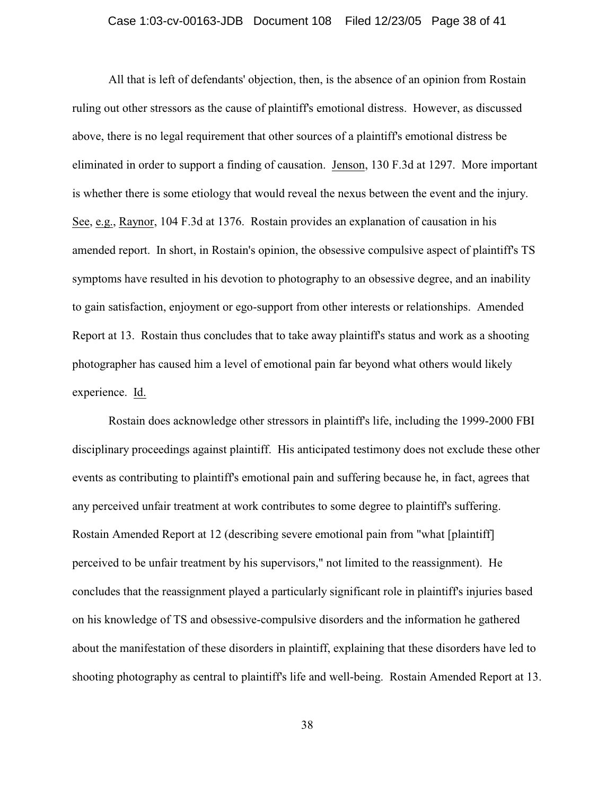## Case 1:03-cv-00163-JDB Document 108 Filed 12/23/05 Page 38 of 41

All that is left of defendants' objection, then, is the absence of an opinion from Rostain ruling out other stressors as the cause of plaintiff's emotional distress. However, as discussed above, there is no legal requirement that other sources of a plaintiff's emotional distress be eliminated in order to support a finding of causation. Jenson, 130 F.3d at 1297. More important is whether there is some etiology that would reveal the nexus between the event and the injury. See, e.g., Raynor, 104 F.3d at 1376. Rostain provides an explanation of causation in his amended report. In short, in Rostain's opinion, the obsessive compulsive aspect of plaintiff's TS symptoms have resulted in his devotion to photography to an obsessive degree, and an inability to gain satisfaction, enjoyment or ego-support from other interests or relationships. Amended Report at 13. Rostain thus concludes that to take away plaintiff's status and work as a shooting photographer has caused him a level of emotional pain far beyond what others would likely experience. Id.

Rostain does acknowledge other stressors in plaintiff's life, including the 1999-2000 FBI disciplinary proceedings against plaintiff. His anticipated testimony does not exclude these other events as contributing to plaintiff's emotional pain and suffering because he, in fact, agrees that any perceived unfair treatment at work contributes to some degree to plaintiff's suffering. Rostain Amended Report at 12 (describing severe emotional pain from "what [plaintiff] perceived to be unfair treatment by his supervisors," not limited to the reassignment). He concludes that the reassignment played a particularly significant role in plaintiff's injuries based on his knowledge of TS and obsessive-compulsive disorders and the information he gathered about the manifestation of these disorders in plaintiff, explaining that these disorders have led to shooting photography as central to plaintiff's life and well-being. Rostain Amended Report at 13.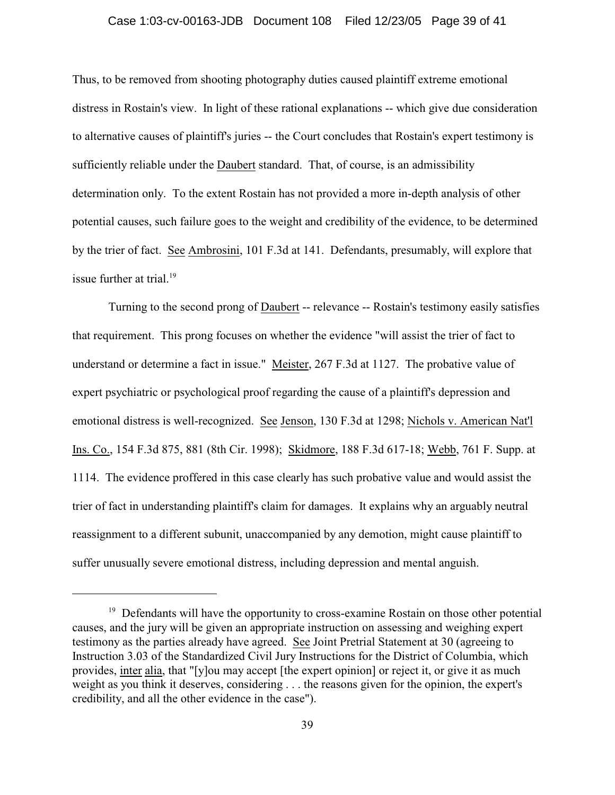#### Case 1:03-cv-00163-JDB Document 108 Filed 12/23/05 Page 39 of 41

Thus, to be removed from shooting photography duties caused plaintiff extreme emotional distress in Rostain's view. In light of these rational explanations -- which give due consideration to alternative causes of plaintiff's juries -- the Court concludes that Rostain's expert testimony is sufficiently reliable under the Daubert standard. That, of course, is an admissibility determination only. To the extent Rostain has not provided a more in-depth analysis of other potential causes, such failure goes to the weight and credibility of the evidence, to be determined by the trier of fact. See Ambrosini, 101 F.3d at 141. Defendants, presumably, will explore that issue further at trial. $19$ 

Turning to the second prong of Daubert -- relevance -- Rostain's testimony easily satisfies that requirement. This prong focuses on whether the evidence "will assist the trier of fact to understand or determine a fact in issue." Meister, 267 F.3d at 1127. The probative value of expert psychiatric or psychological proof regarding the cause of a plaintiff's depression and emotional distress is well-recognized. See Jenson, 130 F.3d at 1298; Nichols v. American Nat'l Ins. Co., 154 F.3d 875, 881 (8th Cir. 1998); Skidmore, 188 F.3d 617-18; Webb, 761 F. Supp. at 1114. The evidence proffered in this case clearly has such probative value and would assist the trier of fact in understanding plaintiff's claim for damages. It explains why an arguably neutral reassignment to a different subunit, unaccompanied by any demotion, might cause plaintiff to suffer unusually severe emotional distress, including depression and mental anguish.

 $19$  Defendants will have the opportunity to cross-examine Rostain on those other potential causes, and the jury will be given an appropriate instruction on assessing and weighing expert testimony as the parties already have agreed. See Joint Pretrial Statement at 30 (agreeing to Instruction 3.03 of the Standardized Civil Jury Instructions for the District of Columbia, which provides, inter alia, that "[y]ou may accept [the expert opinion] or reject it, or give it as much weight as you think it deserves, considering . . . the reasons given for the opinion, the expert's credibility, and all the other evidence in the case").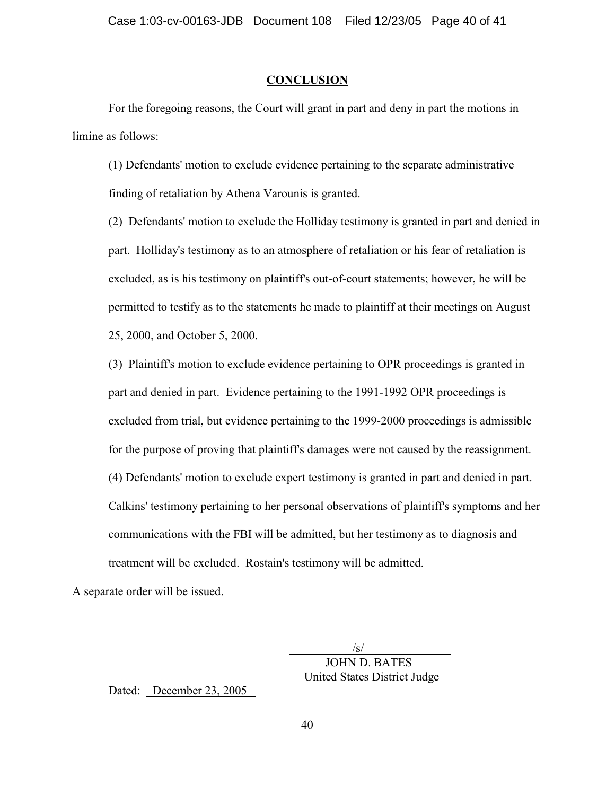#### **CONCLUSION**

For the foregoing reasons, the Court will grant in part and deny in part the motions in limine as follows:

(1) Defendants' motion to exclude evidence pertaining to the separate administrative finding of retaliation by Athena Varounis is granted.

(2) Defendants' motion to exclude the Holliday testimony is granted in part and denied in part. Holliday's testimony as to an atmosphere of retaliation or his fear of retaliation is excluded, as is his testimony on plaintiff's out-of-court statements; however, he will be permitted to testify as to the statements he made to plaintiff at their meetings on August 25, 2000, and October 5, 2000.

(3) Plaintiff's motion to exclude evidence pertaining to OPR proceedings is granted in part and denied in part. Evidence pertaining to the 1991-1992 OPR proceedings is excluded from trial, but evidence pertaining to the 1999-2000 proceedings is admissible for the purpose of proving that plaintiff's damages were not caused by the reassignment. (4) Defendants' motion to exclude expert testimony is granted in part and denied in part. Calkins' testimony pertaining to her personal observations of plaintiff's symptoms and her communications with the FBI will be admitted, but her testimony as to diagnosis and treatment will be excluded. Rostain's testimony will be admitted.

A separate order will be issued.

 /s/ JOHN D. BATES United States District Judge

Dated: December 23, 2005